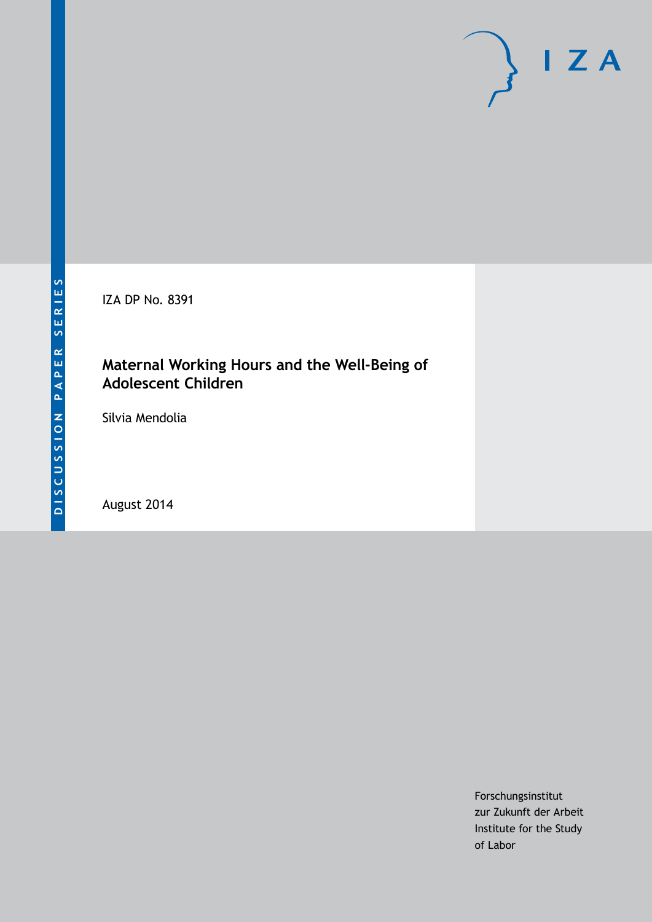IZA DP No. 8391

## **Maternal Working Hours and the Well-Being of Adolescent Children**

Silvia Mendolia

August 2014

Forschungsinstitut zur Zukunft der Arbeit Institute for the Study of Labor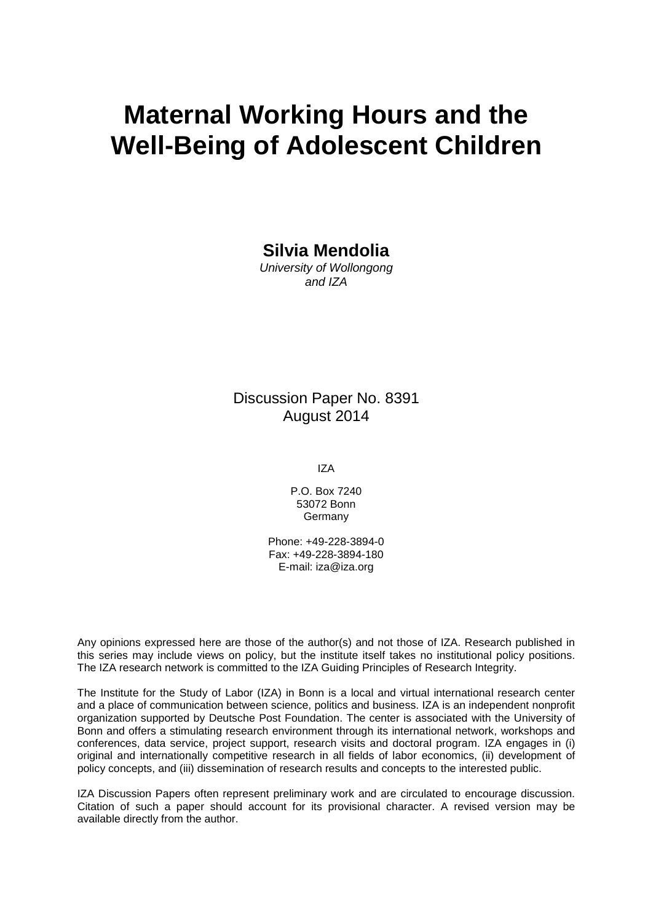# **Maternal Working Hours and the Well-Being of Adolescent Children**

**Silvia Mendolia**

*University of Wollongong and IZA*

Discussion Paper No. 8391 August 2014

IZA

P.O. Box 7240 53072 Bonn **Germany** 

Phone: +49-228-3894-0 Fax: +49-228-3894-180 E-mail: [iza@iza.org](mailto:iza@iza.org)

Any opinions expressed here are those of the author(s) and not those of IZA. Research published in this series may include views on policy, but the institute itself takes no institutional policy positions. The IZA research network is committed to the IZA Guiding Principles of Research Integrity.

The Institute for the Study of Labor (IZA) in Bonn is a local and virtual international research center and a place of communication between science, politics and business. IZA is an independent nonprofit organization supported by Deutsche Post Foundation. The center is associated with the University of Bonn and offers a stimulating research environment through its international network, workshops and conferences, data service, project support, research visits and doctoral program. IZA engages in (i) original and internationally competitive research in all fields of labor economics, (ii) development of policy concepts, and (iii) dissemination of research results and concepts to the interested public.

IZA Discussion Papers often represent preliminary work and are circulated to encourage discussion. Citation of such a paper should account for its provisional character. A revised version may be available directly from the author.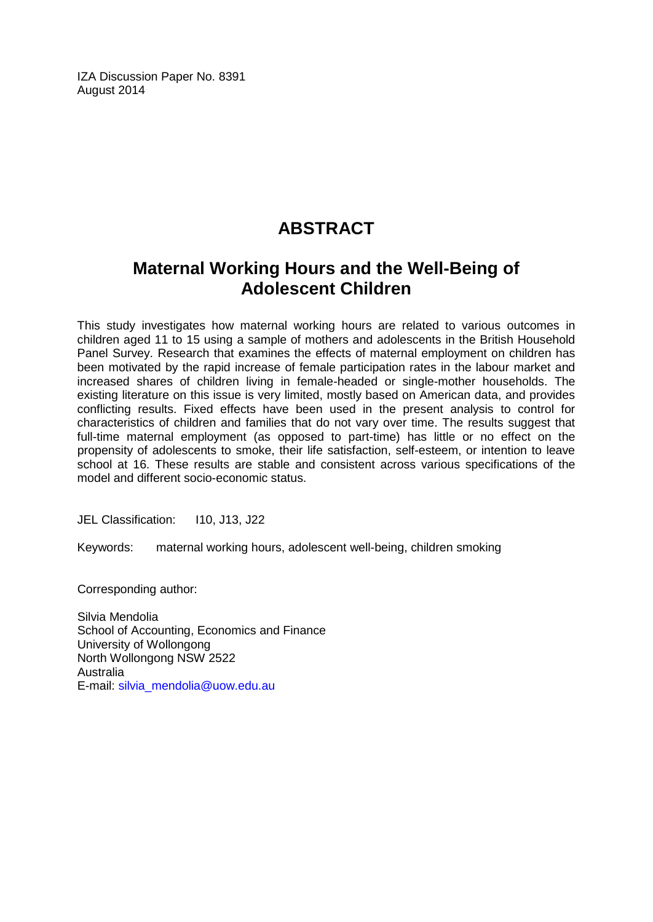IZA Discussion Paper No. 8391 August 2014

# **ABSTRACT**

## **Maternal Working Hours and the Well-Being of Adolescent Children**

This study investigates how maternal working hours are related to various outcomes in children aged 11 to 15 using a sample of mothers and adolescents in the British Household Panel Survey. Research that examines the effects of maternal employment on children has been motivated by the rapid increase of female participation rates in the labour market and increased shares of children living in female-headed or single-mother households. The existing literature on this issue is very limited, mostly based on American data, and provides conflicting results. Fixed effects have been used in the present analysis to control for characteristics of children and families that do not vary over time. The results suggest that full-time maternal employment (as opposed to part-time) has little or no effect on the propensity of adolescents to smoke, their life satisfaction, self-esteem, or intention to leave school at 16. These results are stable and consistent across various specifications of the model and different socio-economic status.

JEL Classification: I10, J13, J22

Keywords: maternal working hours, adolescent well-being, children smoking

Corresponding author:

Silvia Mendolia School of Accounting, Economics and Finance University of Wollongong North Wollongong NSW 2522 Australia E-mail: [silvia\\_mendolia@uow.edu.au](mailto:silvia_mendolia@uow.edu.au)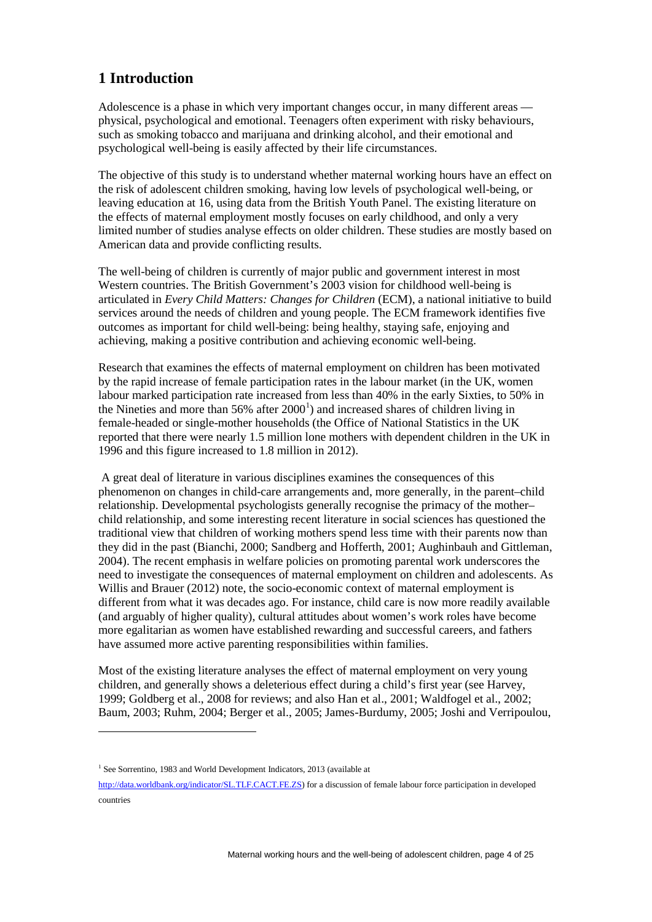### **1 Introduction**

Adolescence is a phase in which very important changes occur, in many different areas physical, psychological and emotional. Teenagers often experiment with risky behaviours, such as smoking tobacco and marijuana and drinking alcohol, and their emotional and psychological well-being is easily affected by their life circumstances.

The objective of this study is to understand whether maternal working hours have an effect on the risk of adolescent children smoking, having low levels of psychological well-being, or leaving education at 16, using data from the British Youth Panel. The existing literature on the effects of maternal employment mostly focuses on early childhood, and only a very limited number of studies analyse effects on older children. These studies are mostly based on American data and provide conflicting results.

The well-being of children is currently of major public and government interest in most Western countries. The British Government's 2003 vision for childhood well-being is articulated in *Every Child Matters: Changes for Children* (ECM), a national initiative to build services around the needs of children and young people. The ECM framework identifies five outcomes as important for child well-being: being healthy, staying safe, enjoying and achieving, making a positive contribution and achieving economic well-being.

Research that examines the effects of maternal employment on children has been motivated by the rapid increase of female participation rates in the labour market (in the UK, women labour marked participation rate increased from less than 40% in the early Sixties, to 50% in the Nineties and more than  $56\%$  after  $2000<sup>1</sup>$  $2000<sup>1</sup>$  $2000<sup>1</sup>$ ) and increased shares of children living in female-headed or single-mother households (the Office of National Statistics in the UK reported that there were nearly 1.5 million lone mothers with dependent children in the UK in 1996 and this figure increased to 1.8 million in 2012).

A great deal of literature in various disciplines examines the consequences of this phenomenon on changes in child-care arrangements and, more generally, in the parent–child relationship. Developmental psychologists generally recognise the primacy of the mother– child relationship, and some interesting recent literature in social sciences has questioned the traditional view that children of working mothers spend less time with their parents now than they did in the past (Bianchi, 2000; Sandberg and Hofferth, 2001; Aughinbauh and Gittleman, 2004). The recent emphasis in welfare policies on promoting parental work underscores the need to investigate the consequences of maternal employment on children and adolescents. As Willis and Brauer (2012) note, the socio-economic context of maternal employment is different from what it was decades ago. For instance, child care is now more readily available (and arguably of higher quality), cultural attitudes about women's work roles have become more egalitarian as women have established rewarding and successful careers, and fathers have assumed more active parenting responsibilities within families.

Most of the existing literature analyses the effect of maternal employment on very young children, and generally shows a deleterious effect during a child's first year (see Harvey, 1999; Goldberg et al., 2008 for reviews; and also Han et al., 2001; Waldfogel et al., 2002; Baum, 2003; Ruhm, 2004; Berger et al., 2005; James-Burdumy, 2005; Joshi and Verripoulou,

 $\overline{a}$ 

<sup>&</sup>lt;sup>1</sup> See Sorrentino, 1983 and World Development Indicators, 2013 (available at

<span id="page-3-0"></span>[http://data.worldbank.org/indicator/SL.TLF.CACT.FE.ZS\)](http://data.worldbank.org/indicator/SL.TLF.CACT.FE.ZS) for a discussion of female labour force participation in developed countries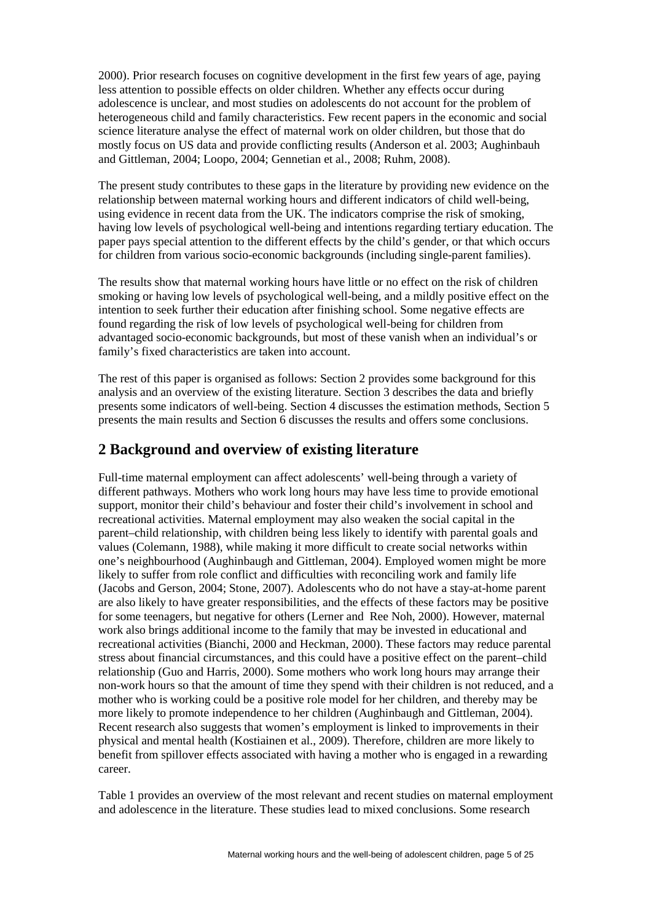2000). Prior research focuses on cognitive development in the first few years of age, paying less attention to possible effects on older children. Whether any effects occur during adolescence is unclear, and most studies on adolescents do not account for the problem of heterogeneous child and family characteristics. Few recent papers in the economic and social science literature analyse the effect of maternal work on older children, but those that do mostly focus on US data and provide conflicting results (Anderson et al. 2003; Aughinbauh and Gittleman, 2004; Loopo, 2004; Gennetian et al., 2008; Ruhm, 2008).

The present study contributes to these gaps in the literature by providing new evidence on the relationship between maternal working hours and different indicators of child well-being, using evidence in recent data from the UK. The indicators comprise the risk of smoking, having low levels of psychological well-being and intentions regarding tertiary education. The paper pays special attention to the different effects by the child's gender, or that which occurs for children from various socio-economic backgrounds (including single-parent families).

The results show that maternal working hours have little or no effect on the risk of children smoking or having low levels of psychological well-being, and a mildly positive effect on the intention to seek further their education after finishing school. Some negative effects are found regarding the risk of low levels of psychological well-being for children from advantaged socio-economic backgrounds, but most of these vanish when an individual's or family's fixed characteristics are taken into account.

The rest of this paper is organised as follows: Section 2 provides some background for this analysis and an overview of the existing literature. Section 3 describes the data and briefly presents some indicators of well-being. Section 4 discusses the estimation methods, Section 5 presents the main results and Section 6 discusses the results and offers some conclusions.

#### **2 Background and overview of existing literature**

Full-time maternal employment can affect adolescents' well-being through a variety of different pathways. Mothers who work long hours may have less time to provide emotional support, monitor their child's behaviour and foster their child's involvement in school and recreational activities. Maternal employment may also weaken the social capital in the parent–child relationship, with children being less likely to identify with parental goals and values (Colemann, 1988), while making it more difficult to create social networks within one's neighbourhood (Aughinbaugh and Gittleman, 2004). Employed women might be more likely to suffer from role conflict and difficulties with reconciling work and family life (Jacobs and Gerson, 2004; Stone, 2007). Adolescents who do not have a stay-at-home parent are also likely to have greater responsibilities, and the effects of these factors may be positive for some teenagers, but negative for others (Lerner and Ree Noh, 2000). However, maternal work also brings additional income to the family that may be invested in educational and recreational activities (Bianchi, 2000 and Heckman, 2000). These factors may reduce parental stress about financial circumstances, and this could have a positive effect on the parent–child relationship (Guo and Harris, 2000). Some mothers who work long hours may arrange their non-work hours so that the amount of time they spend with their children is not reduced, and a mother who is working could be a positive role model for her children, and thereby may be more likely to promote independence to her children (Aughinbaugh and Gittleman, 2004). Recent research also suggests that women's employment is linked to improvements in their physical and mental health (Kostiainen et al., 2009). Therefore, children are more likely to benefit from spillover effects associated with having a mother who is engaged in a rewarding career.

Table 1 provides an overview of the most relevant and recent studies on maternal employment and adolescence in the literature. These studies lead to mixed conclusions. Some research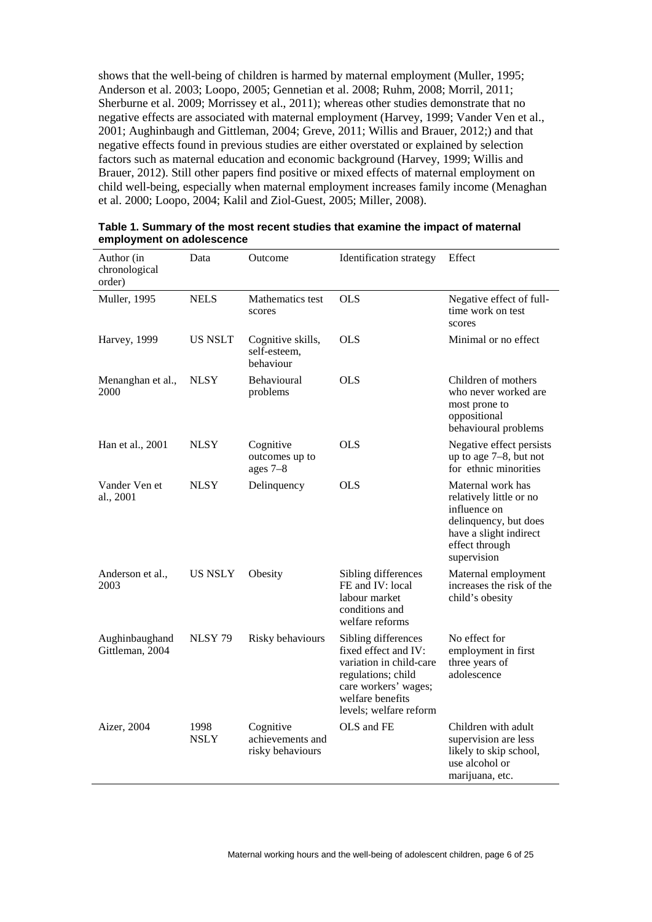shows that the well-being of children is harmed by maternal employment (Muller, 1995; Anderson et al. 2003; Loopo, 2005; Gennetian et al. 2008; Ruhm, 2008; Morril, 2011; Sherburne et al. 2009; Morrissey et al., 2011); whereas other studies demonstrate that no negative effects are associated with maternal employment (Harvey, 1999; Vander Ven et al., 2001; Aughinbaugh and Gittleman, 2004; Greve, 2011; Willis and Brauer, 2012;) and that negative effects found in previous studies are either overstated or explained by selection factors such as maternal education and economic background (Harvey, 1999; Willis and Brauer, 2012). Still other papers find positive or mixed effects of maternal employment on child well-being, especially when maternal employment increases family income (Menaghan et al. 2000; Loopo, 2004; Kalil and Ziol-Guest, 2005; Miller, 2008).

| Author (in<br>chronological<br>order) | Data           | Outcome                                           | <b>Identification</b> strategy                                                                                                                                     | Effect                                                                                                                                           |
|---------------------------------------|----------------|---------------------------------------------------|--------------------------------------------------------------------------------------------------------------------------------------------------------------------|--------------------------------------------------------------------------------------------------------------------------------------------------|
| Muller, 1995                          | <b>NELS</b>    | Mathematics test<br>scores                        | <b>OLS</b>                                                                                                                                                         | Negative effect of full-<br>time work on test<br>scores                                                                                          |
| <b>Harvey</b> , 1999                  | <b>US NSLT</b> | Cognitive skills,<br>self-esteem,<br>behaviour    | <b>OLS</b>                                                                                                                                                         | Minimal or no effect                                                                                                                             |
| Menanghan et al.,<br>2000             | NLSY           | Behavioural<br>problems                           | <b>OLS</b>                                                                                                                                                         | Children of mothers<br>who never worked are<br>most prone to<br>oppositional<br>behavioural problems                                             |
| Han et al., 2001                      | NLSY           | Cognitive<br>outcomes up to<br>ages $7-8$         | <b>OLS</b>                                                                                                                                                         | Negative effect persists<br>up to age $7-8$ , but not<br>for ethnic minorities                                                                   |
| Vander Ven et<br>al., 2001            | NLSY           | Delinquency                                       | <b>OLS</b>                                                                                                                                                         | Maternal work has<br>relatively little or no<br>influence on<br>delinquency, but does<br>have a slight indirect<br>effect through<br>supervision |
| Anderson et al.,<br>2003              | <b>US NSLY</b> | Obesity                                           | Sibling differences<br>FE and IV: local<br>labour market<br>conditions and<br>welfare reforms                                                                      | Maternal employment<br>increases the risk of the<br>child's obesity                                                                              |
| Aughinbaughand<br>Gittleman, 2004     | <b>NLSY 79</b> | Risky behaviours                                  | Sibling differences<br>fixed effect and IV:<br>variation in child-care<br>regulations; child<br>care workers' wages;<br>welfare benefits<br>levels; welfare reform | No effect for<br>employment in first<br>three years of<br>adolescence                                                                            |
| Aizer, 2004                           | 1998<br>NSLY   | Cognitive<br>achievements and<br>risky behaviours | OLS and FE                                                                                                                                                         | Children with adult<br>supervision are less<br>likely to skip school,<br>use alcohol or<br>marijuana, etc.                                       |

**Table 1. Summary of the most recent studies that examine the impact of maternal employment on adolescence**

Maternal working hours and the well-being of adolescent children, page 6 of 25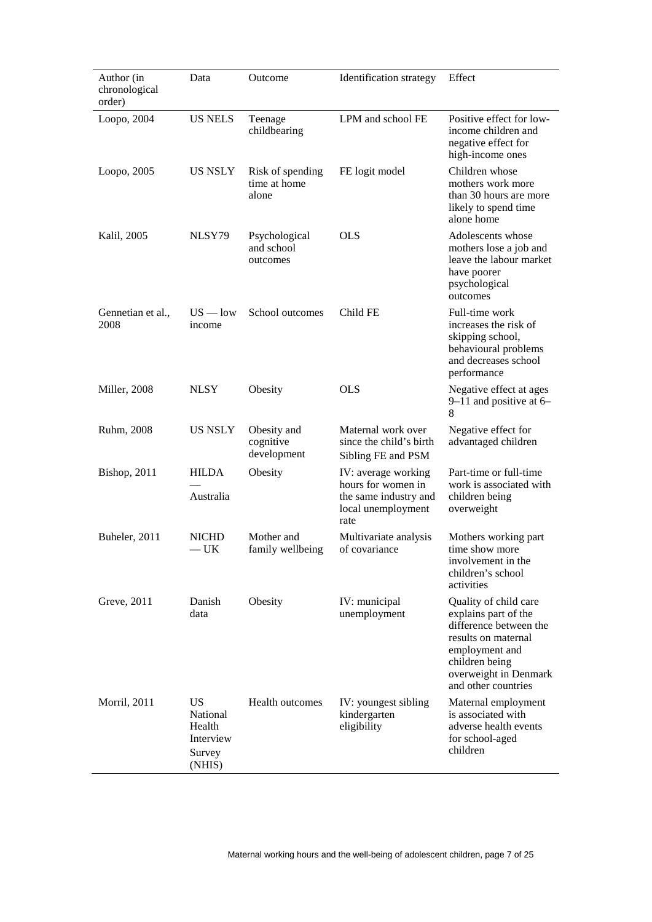| Author (in<br>chronological<br>order) | Data                                                             | Outcome                                   | Identification strategy                                                                          | Effect                                                                                                                                                                             |
|---------------------------------------|------------------------------------------------------------------|-------------------------------------------|--------------------------------------------------------------------------------------------------|------------------------------------------------------------------------------------------------------------------------------------------------------------------------------------|
| Loopo, 2004                           | <b>US NELS</b>                                                   | Teenage<br>childbearing                   | LPM and school FE                                                                                | Positive effect for low-<br>income children and<br>negative effect for<br>high-income ones                                                                                         |
| Loopo, 2005                           | <b>US NSLY</b>                                                   | Risk of spending<br>time at home<br>alone | FE logit model                                                                                   | Children whose<br>mothers work more<br>than 30 hours are more<br>likely to spend time<br>alone home                                                                                |
| Kalil, 2005                           | NLSY79                                                           | Psychological<br>and school<br>outcomes   | <b>OLS</b>                                                                                       | Adolescents whose<br>mothers lose a job and<br>leave the labour market<br>have poorer<br>psychological<br>outcomes                                                                 |
| Gennetian et al.,<br>2008             | $US - low$<br>income                                             | School outcomes                           | Child FE                                                                                         | Full-time work<br>increases the risk of<br>skipping school,<br>behavioural problems<br>and decreases school<br>performance                                                         |
| Miller, 2008                          | <b>NLSY</b>                                                      | Obesity                                   | <b>OLS</b>                                                                                       | Negative effect at ages<br>$9-11$ and positive at 6-<br>8                                                                                                                          |
| Ruhm, 2008                            | <b>US NSLY</b>                                                   | Obesity and<br>cognitive<br>development   | Maternal work over<br>since the child's birth<br>Sibling FE and PSM                              | Negative effect for<br>advantaged children                                                                                                                                         |
| <b>Bishop</b> , 2011                  | <b>HILDA</b><br>Australia                                        | Obesity                                   | IV: average working<br>hours for women in<br>the same industry and<br>local unemployment<br>rate | Part-time or full-time<br>work is associated with<br>children being<br>overweight                                                                                                  |
| Buheler, 2011                         | <b>NICHD</b><br>$-$ UK                                           | Mother and<br>family wellbeing            | Multivariate analysis<br>of covariance                                                           | Mothers working part<br>time show more<br>involvement in the<br>children's school<br>activities                                                                                    |
| Greve, 2011                           | Danish<br>data                                                   | Obesity                                   | IV: municipal<br>unemployment                                                                    | Quality of child care<br>explains part of the<br>difference between the<br>results on maternal<br>employment and<br>children being<br>overweight in Denmark<br>and other countries |
| <b>Morril</b> , 2011                  | <b>US</b><br>National<br>Health<br>Interview<br>Survey<br>(NHIS) | <b>Health outcomes</b>                    | IV: youngest sibling<br>kindergarten<br>eligibility                                              | Maternal employment<br>is associated with<br>adverse health events<br>for school-aged<br>children                                                                                  |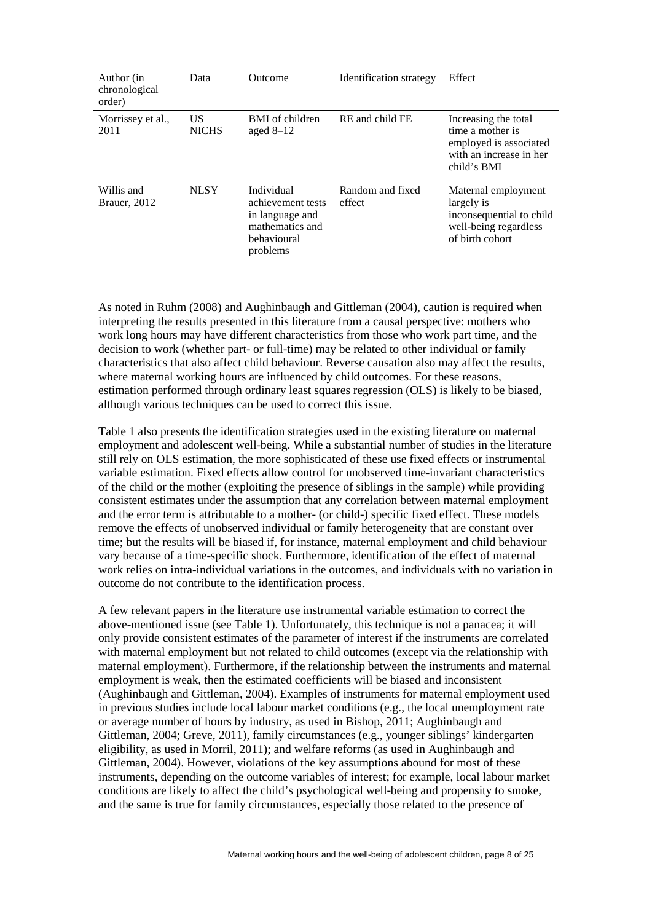| Author (in<br>chronological<br>order) | Data               | <b>Outcome</b>                                                                                   | Identification strategy    | Effect                                                                                                       |
|---------------------------------------|--------------------|--------------------------------------------------------------------------------------------------|----------------------------|--------------------------------------------------------------------------------------------------------------|
| Morrissey et al.,<br>2011             | US<br><b>NICHS</b> | BMI of children<br>aged $8-12$                                                                   | RE and child FE            | Increasing the total<br>time a mother is<br>employed is associated<br>with an increase in her<br>child's BMI |
| Willis and<br><b>Brauer</b> , 2012    | <b>NLSY</b>        | Individual<br>achievement tests<br>in language and<br>mathematics and<br>behavioural<br>problems | Random and fixed<br>effect | Maternal employment<br>largely is<br>inconsequential to child<br>well-being regardless<br>of birth cohort    |

As noted in Ruhm (2008) and Aughinbaugh and Gittleman (2004), caution is required when interpreting the results presented in this literature from a causal perspective: mothers who work long hours may have different characteristics from those who work part time, and the decision to work (whether part- or full-time) may be related to other individual or family characteristics that also affect child behaviour. Reverse causation also may affect the results, where maternal working hours are influenced by child outcomes. For these reasons, estimation performed through ordinary least squares regression (OLS) is likely to be biased, although various techniques can be used to correct this issue.

Table 1 also presents the identification strategies used in the existing literature on maternal employment and adolescent well-being. While a substantial number of studies in the literature still rely on OLS estimation, the more sophisticated of these use fixed effects or instrumental variable estimation. Fixed effects allow control for unobserved time-invariant characteristics of the child or the mother (exploiting the presence of siblings in the sample) while providing consistent estimates under the assumption that any correlation between maternal employment and the error term is attributable to a mother- (or child-) specific fixed effect. These models remove the effects of unobserved individual or family heterogeneity that are constant over time; but the results will be biased if, for instance, maternal employment and child behaviour vary because of a time-specific shock. Furthermore, identification of the effect of maternal work relies on intra-individual variations in the outcomes, and individuals with no variation in outcome do not contribute to the identification process.

A few relevant papers in the literature use instrumental variable estimation to correct the above-mentioned issue (see Table 1). Unfortunately, this technique is not a panacea; it will only provide consistent estimates of the parameter of interest if the instruments are correlated with maternal employment but not related to child outcomes (except via the relationship with maternal employment). Furthermore, if the relationship between the instruments and maternal employment is weak, then the estimated coefficients will be biased and inconsistent (Aughinbaugh and Gittleman, 2004). Examples of instruments for maternal employment used in previous studies include local labour market conditions (e.g., the local unemployment rate or average number of hours by industry, as used in Bishop, 2011; Aughinbaugh and Gittleman, 2004; Greve, 2011), family circumstances (e.g., younger siblings' kindergarten eligibility, as used in Morril, 2011); and welfare reforms (as used in Aughinbaugh and Gittleman, 2004). However, violations of the key assumptions abound for most of these instruments, depending on the outcome variables of interest; for example, local labour market conditions are likely to affect the child's psychological well-being and propensity to smoke, and the same is true for family circumstances, especially those related to the presence of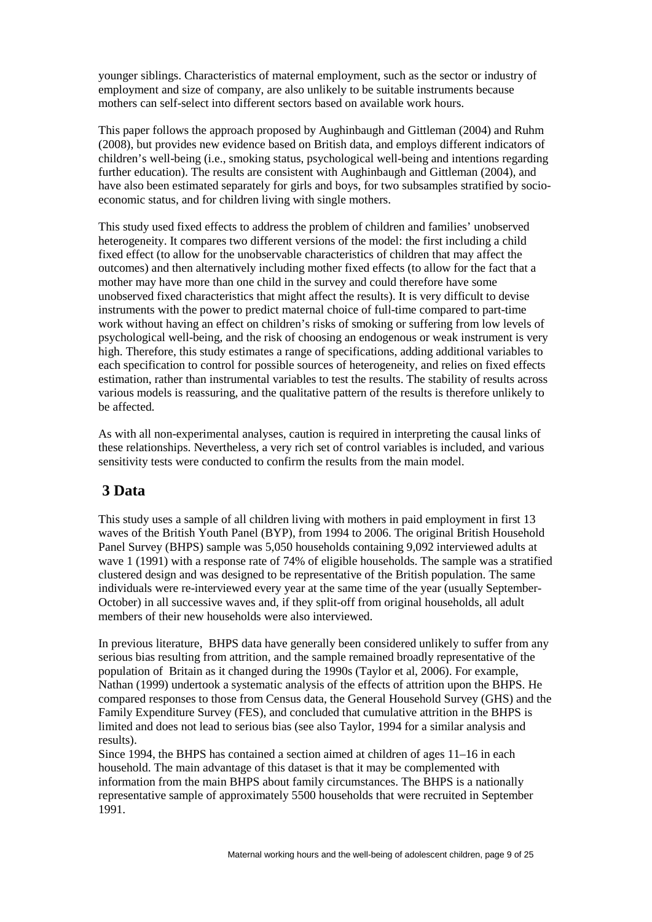younger siblings. Characteristics of maternal employment, such as the sector or industry of employment and size of company, are also unlikely to be suitable instruments because mothers can self-select into different sectors based on available work hours.

This paper follows the approach proposed by Aughinbaugh and Gittleman (2004) and Ruhm (2008), but provides new evidence based on British data, and employs different indicators of children's well-being (i.e., smoking status, psychological well-being and intentions regarding further education). The results are consistent with Aughinbaugh and Gittleman (2004), and have also been estimated separately for girls and boys, for two subsamples stratified by socioeconomic status, and for children living with single mothers.

This study used fixed effects to address the problem of children and families' unobserved heterogeneity. It compares two different versions of the model: the first including a child fixed effect (to allow for the unobservable characteristics of children that may affect the outcomes) and then alternatively including mother fixed effects (to allow for the fact that a mother may have more than one child in the survey and could therefore have some unobserved fixed characteristics that might affect the results). It is very difficult to devise instruments with the power to predict maternal choice of full-time compared to part-time work without having an effect on children's risks of smoking or suffering from low levels of psychological well-being, and the risk of choosing an endogenous or weak instrument is very high. Therefore, this study estimates a range of specifications, adding additional variables to each specification to control for possible sources of heterogeneity, and relies on fixed effects estimation, rather than instrumental variables to test the results. The stability of results across various models is reassuring, and the qualitative pattern of the results is therefore unlikely to be affected.

As with all non-experimental analyses, caution is required in interpreting the causal links of these relationships. Nevertheless, a very rich set of control variables is included, and various sensitivity tests were conducted to confirm the results from the main model.

#### **3 Data**

This study uses a sample of all children living with mothers in paid employment in first 13 waves of the British Youth Panel (BYP), from 1994 to 2006. The original British Household Panel Survey (BHPS) sample was 5,050 households containing 9,092 interviewed adults at wave 1 (1991) with a response rate of 74% of eligible households. The sample was a stratified clustered design and was designed to be representative of the British population. The same individuals were re-interviewed every year at the same time of the year (usually September-October) in all successive waves and, if they split-off from original households, all adult members of their new households were also interviewed.

In previous literature, BHPS data have generally been considered unlikely to suffer from any serious bias resulting from attrition, and the sample remained broadly representative of the population of Britain as it changed during the 1990s (Taylor et al, 2006). For example, Nathan (1999) undertook a systematic analysis of the effects of attrition upon the BHPS. He compared responses to those from Census data, the General Household Survey (GHS) and the Family Expenditure Survey (FES), and concluded that cumulative attrition in the BHPS is limited and does not lead to serious bias (see also Taylor, 1994 for a similar analysis and results).

Since 1994, the BHPS has contained a section aimed at children of ages 11–16 in each household. The main advantage of this dataset is that it may be complemented with information from the main BHPS about family circumstances. The BHPS is a nationally representative sample of approximately 5500 households that were recruited in September 1991.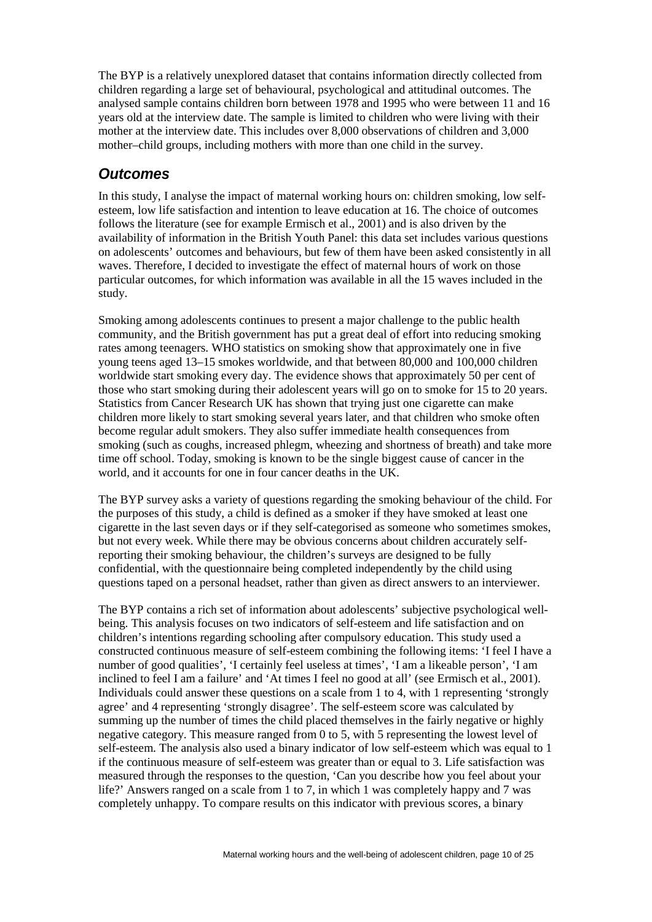The BYP is a relatively unexplored dataset that contains information directly collected from children regarding a large set of behavioural, psychological and attitudinal outcomes. The analysed sample contains children born between 1978 and 1995 who were between 11 and 16 years old at the interview date. The sample is limited to children who were living with their mother at the interview date. This includes over 8,000 observations of children and 3,000 mother–child groups, including mothers with more than one child in the survey.

#### *Outcomes*

In this study, I analyse the impact of maternal working hours on: children smoking, low selfesteem, low life satisfaction and intention to leave education at 16. The choice of outcomes follows the literature (see for example Ermisch et al., 2001) and is also driven by the availability of information in the British Youth Panel: this data set includes various questions on adolescents' outcomes and behaviours, but few of them have been asked consistently in all waves. Therefore, I decided to investigate the effect of maternal hours of work on those particular outcomes, for which information was available in all the 15 waves included in the study.

Smoking among adolescents continues to present a major challenge to the public health community, and the British government has put a great deal of effort into reducing smoking rates among teenagers. WHO statistics on smoking show that approximately one in five young teens aged 13–15 smokes worldwide, and that between 80,000 and 100,000 children worldwide start smoking every day. The evidence shows that approximately 50 per cent of those who start smoking during their adolescent years will go on to smoke for 15 to 20 years. Statistics from Cancer Research UK has shown that trying just one cigarette can make children more likely to start smoking several years later, and that children who smoke often become regular adult smokers. They also suffer immediate health consequences from smoking (such as coughs, increased phlegm, wheezing and shortness of breath) and take more time off school. Today, smoking is known to be the single biggest cause of cancer in the world, and it accounts for one in four cancer deaths in the UK.

The BYP survey asks a variety of questions regarding the smoking behaviour of the child. For the purposes of this study, a child is defined as a smoker if they have smoked at least one cigarette in the last seven days or if they self-categorised as someone who sometimes smokes, but not every week. While there may be obvious concerns about children accurately selfreporting their smoking behaviour, the children's surveys are designed to be fully confidential, with the questionnaire being completed independently by the child using questions taped on a personal headset, rather than given as direct answers to an interviewer.

The BYP contains a rich set of information about adolescents' subjective psychological wellbeing. This analysis focuses on two indicators of self-esteem and life satisfaction and on children's intentions regarding schooling after compulsory education. This study used a constructed continuous measure of self-esteem combining the following items: 'I feel I have a number of good qualities', 'I certainly feel useless at times', 'I am a likeable person', 'I am inclined to feel I am a failure' and 'At times I feel no good at all' (see Ermisch et al., 2001). Individuals could answer these questions on a scale from 1 to 4, with 1 representing 'strongly agree' and 4 representing 'strongly disagree'. The self-esteem score was calculated by summing up the number of times the child placed themselves in the fairly negative or highly negative category. This measure ranged from 0 to 5, with 5 representing the lowest level of self-esteem. The analysis also used a binary indicator of low self-esteem which was equal to 1 if the continuous measure of self-esteem was greater than or equal to 3. Life satisfaction was measured through the responses to the question, 'Can you describe how you feel about your life?' Answers ranged on a scale from 1 to 7, in which 1 was completely happy and 7 was completely unhappy. To compare results on this indicator with previous scores, a binary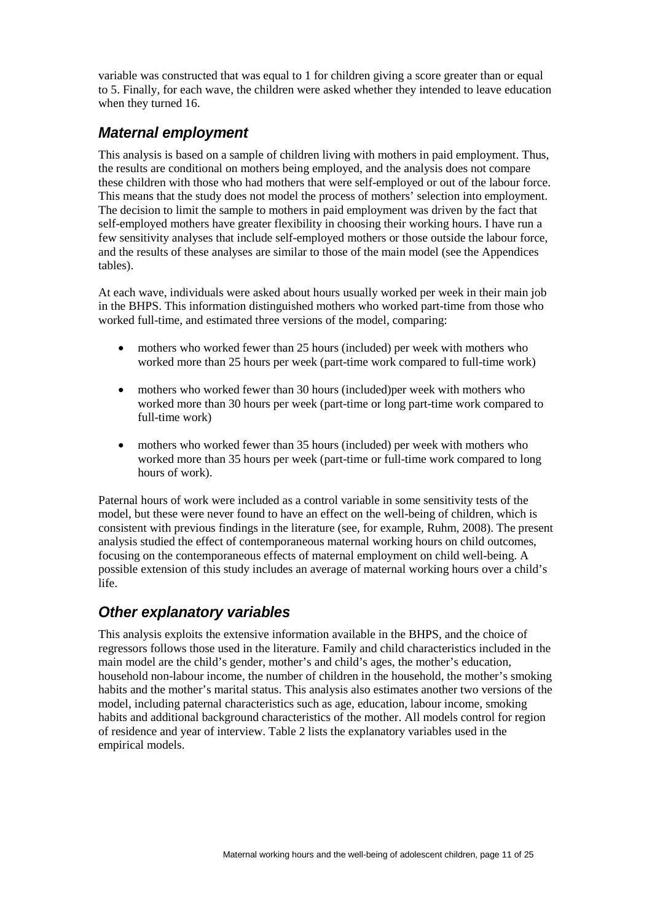variable was constructed that was equal to 1 for children giving a score greater than or equal to 5. Finally, for each wave, the children were asked whether they intended to leave education when they turned 16.

#### *Maternal employment*

This analysis is based on a sample of children living with mothers in paid employment. Thus, the results are conditional on mothers being employed, and the analysis does not compare these children with those who had mothers that were self-employed or out of the labour force. This means that the study does not model the process of mothers' selection into employment. The decision to limit the sample to mothers in paid employment was driven by the fact that self-employed mothers have greater flexibility in choosing their working hours. I have run a few sensitivity analyses that include self-employed mothers or those outside the labour force, and the results of these analyses are similar to those of the main model (see the Appendices tables).

At each wave, individuals were asked about hours usually worked per week in their main job in the BHPS. This information distinguished mothers who worked part-time from those who worked full-time, and estimated three versions of the model, comparing:

- mothers who worked fewer than 25 hours (included) per week with mothers who worked more than 25 hours per week (part-time work compared to full-time work)
- mothers who worked fewer than 30 hours (included) per week with mothers who worked more than 30 hours per week (part-time or long part-time work compared to full-time work)
- mothers who worked fewer than 35 hours (included) per week with mothers who worked more than 35 hours per week (part-time or full-time work compared to long hours of work).

Paternal hours of work were included as a control variable in some sensitivity tests of the model, but these were never found to have an effect on the well-being of children, which is consistent with previous findings in the literature (see, for example, Ruhm, 2008). The present analysis studied the effect of contemporaneous maternal working hours on child outcomes, focusing on the contemporaneous effects of maternal employment on child well-being. A possible extension of this study includes an average of maternal working hours over a child's life.

#### *Other explanatory variables*

This analysis exploits the extensive information available in the BHPS, and the choice of regressors follows those used in the literature. Family and child characteristics included in the main model are the child's gender, mother's and child's ages, the mother's education, household non-labour income, the number of children in the household, the mother's smoking habits and the mother's marital status. This analysis also estimates another two versions of the model, including paternal characteristics such as age, education, labour income, smoking habits and additional background characteristics of the mother. All models control for region of residence and year of interview. Table 2 lists the explanatory variables used in the empirical models.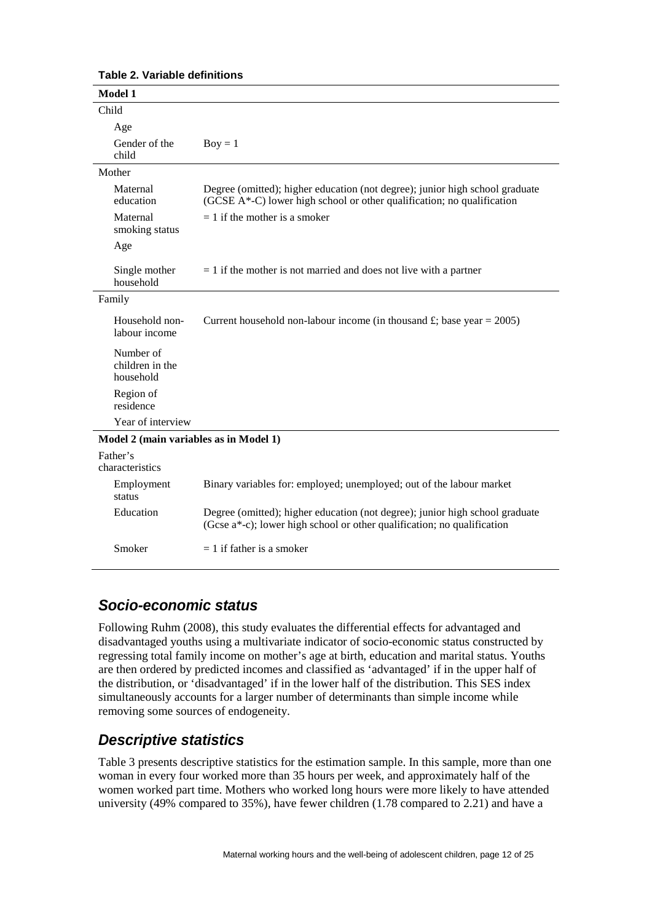| <b>Model 1</b>                            |                                                                                                                                                         |
|-------------------------------------------|---------------------------------------------------------------------------------------------------------------------------------------------------------|
| Child                                     |                                                                                                                                                         |
| Age                                       |                                                                                                                                                         |
| Gender of the<br>child                    | $Boy = 1$                                                                                                                                               |
| Mother                                    |                                                                                                                                                         |
| Maternal<br>education                     | Degree (omitted); higher education (not degree); junior high school graduate<br>(GCSE A*-C) lower high school or other qualification; no qualification  |
| Maternal<br>smoking status                | $= 1$ if the mother is a smoker                                                                                                                         |
| Age                                       |                                                                                                                                                         |
| Single mother<br>household                | $= 1$ if the mother is not married and does not live with a partner                                                                                     |
| Family                                    |                                                                                                                                                         |
| Household non-<br>labour income           | Current household non-labour income (in thousand £; base year = 2005)                                                                                   |
| Number of<br>children in the<br>household |                                                                                                                                                         |
| Region of<br>residence                    |                                                                                                                                                         |
| Year of interview                         |                                                                                                                                                         |
| Model 2 (main variables as in Model 1)    |                                                                                                                                                         |
| Father's<br>characteristics               |                                                                                                                                                         |
| Employment<br>status                      | Binary variables for: employed; unemployed; out of the labour market                                                                                    |
| Education                                 | Degree (omitted); higher education (not degree); junior high school graduate<br>(Gcse a*-c); lower high school or other qualification; no qualification |
| Smoker                                    | $= 1$ if father is a smoker                                                                                                                             |

**Table 2. Variable definitions**

#### *Socio-economic status*

Following Ruhm (2008), this study evaluates the differential effects for advantaged and disadvantaged youths using a multivariate indicator of socio-economic status constructed by regressing total family income on mother's age at birth, education and marital status. Youths are then ordered by predicted incomes and classified as 'advantaged' if in the upper half of the distribution, or 'disadvantaged' if in the lower half of the distribution. This SES index simultaneously accounts for a larger number of determinants than simple income while removing some sources of endogeneity.

#### *Descriptive statistics*

Table 3 presents descriptive statistics for the estimation sample. In this sample, more than one woman in every four worked more than 35 hours per week, and approximately half of the women worked part time. Mothers who worked long hours were more likely to have attended university (49% compared to 35%), have fewer children (1.78 compared to 2.21) and have a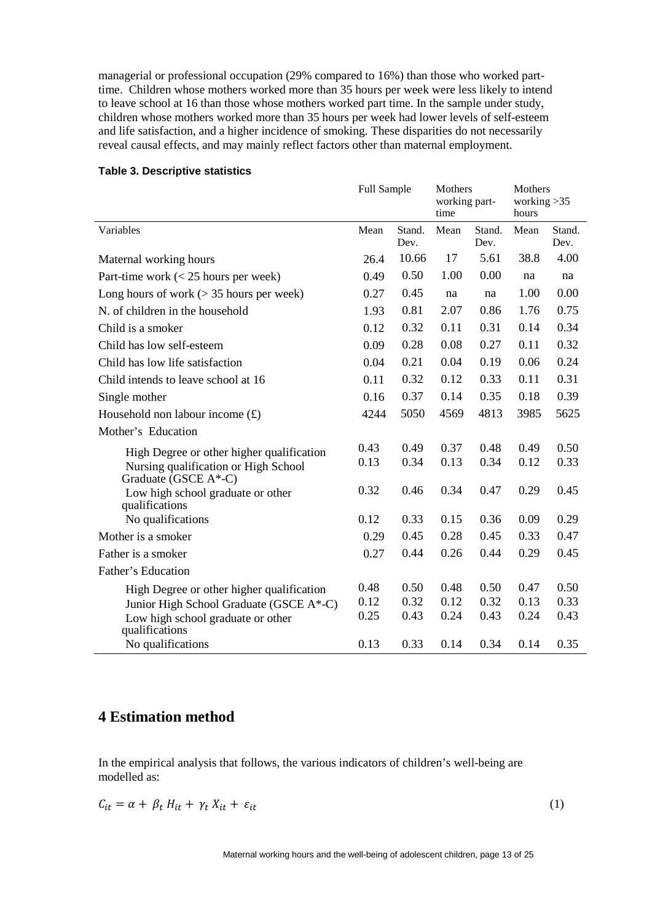managerial or professional occupation (29% compared to 16%) than those who worked parttime. Children whose mothers worked more than 35 hours per week were less likely to intend to leave school at 16 than those whose mothers worked part time. In the sample under study, children whose mothers worked more than 35 hours per week had lower levels of self-esteem and life satisfaction, and a higher incidence of smoking. These disparities do not necessarily reveal causal effects, and may mainly reflect factors other than maternal employment.

#### **Table 3. Descriptive statistics**

|                                                              | Full Sample |                | Mothers<br>working part-<br>time |                | Mothers<br>working $>35$<br>hours |                |
|--------------------------------------------------------------|-------------|----------------|----------------------------------|----------------|-----------------------------------|----------------|
| Variables                                                    | Mean        | Stand.<br>Dev. | Mean                             | Stand.<br>Dev. | Mean                              | Stand.<br>Dev. |
| Maternal working hours                                       | 26.4        | 10.66          | 17                               | 5.61           | 38.8                              | 4.00           |
| Part-time work $(< 25$ hours per week)                       | 0.49        | 0.50           | 1.00                             | 0.00           | na                                | na             |
| Long hours of work $(> 35$ hours per week)                   | 0.27        | 0.45           | na                               | na             | 1.00                              | 0.00           |
| N. of children in the household                              | 1.93        | 0.81           | 2.07                             | 0.86           | 1.76                              | 0.75           |
| Child is a smoker                                            | 0.12        | 0.32           | 0.11                             | 0.31           | 0.14                              | 0.34           |
| Child has low self-esteem                                    | 0.09        | 0.28           | 0.08                             | 0.27           | 0.11                              | 0.32           |
| Child has low life satisfaction                              | 0.04        | 0.21           | 0.04                             | 0.19           | 0.06                              | 0.24           |
| Child intends to leave school at 16                          | 0.11        | 0.32           | 0.12                             | 0.33           | 0.11                              | 0.31           |
| Single mother                                                | 0.16        | 0.37           | 0.14                             | 0.35           | 0.18                              | 0.39           |
| Household non labour income $(f)$                            | 4244        | 5050           | 4569                             | 4813           | 3985                              | 5625           |
| Mother's Education                                           |             |                |                                  |                |                                   |                |
| High Degree or other higher qualification                    | 0.43        | 0.49           | 0.37                             | 0.48           | 0.49                              | 0.50           |
| Nursing qualification or High School<br>Graduate (GSCE A*-C) | 0.13        | 0.34           | 0.13                             | 0.34           | 0.12                              | 0.33           |
| Low high school graduate or other<br>qualifications          | 0.32        | 0.46           | 0.34                             | 0.47           | 0.29                              | 0.45           |
| No qualifications                                            | 0.12        | 0.33           | 0.15                             | 0.36           | 0.09                              | 0.29           |
| Mother is a smoker                                           | 0.29        | 0.45           | 0.28                             | 0.45           | 0.33                              | 0.47           |
| Father is a smoker                                           | 0.27        | 0.44           | 0.26                             | 0.44           | 0.29                              | 0.45           |
| Father's Education                                           |             |                |                                  |                |                                   |                |
| High Degree or other higher qualification                    | 0.48        | 0.50           | 0.48                             | 0.50           | 0.47                              | 0.50           |
| Junior High School Graduate (GSCE A*-C)                      | 0.12        | 0.32           | 0.12                             | 0.32           | 0.13                              | 0.33           |
| Low high school graduate or other<br>qualifications          | 0.25        | 0.43           | 0.24                             | 0.43           | 0.24                              | 0.43           |
| No qualifications                                            | 0.13        | 0.33           | 0.14                             | 0.34           | 0.14                              | 0.35           |

#### **4 Estimation method**

In the empirical analysis that follows, the various indicators of children's well-being are modelled as:

$$
C_{it} = \alpha + \beta_t H_{it} + \gamma_t X_{it} + \varepsilon_{it} \tag{1}
$$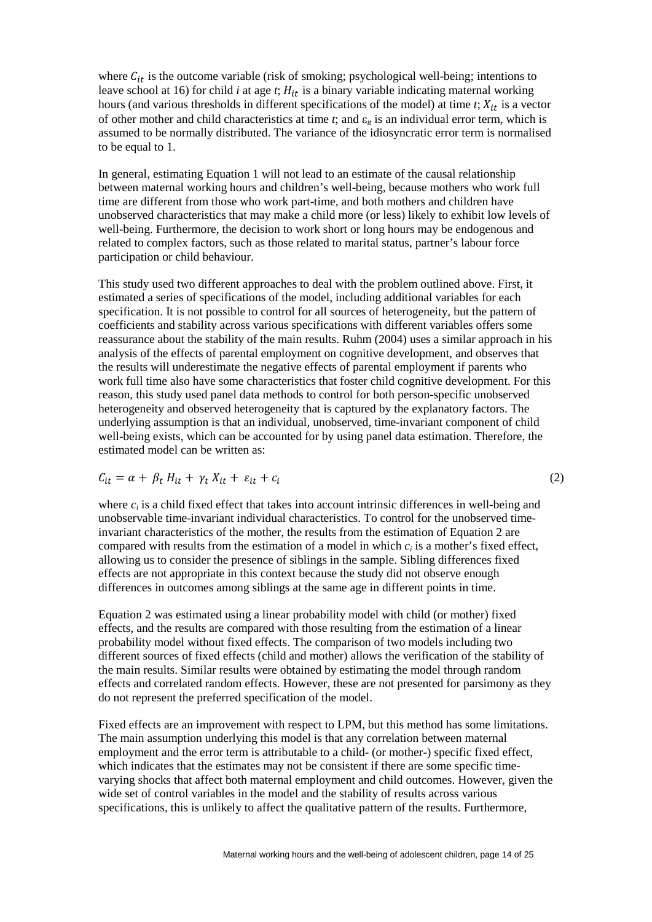where  $C_{it}$  is the outcome variable (risk of smoking; psychological well-being; intentions to leave school at 16) for child  $i$  at age  $t$ ;  $H_{it}$  is a binary variable indicating maternal working hours (and various thresholds in different specifications of the model) at time  $t$ ;  $X_{it}$  is a vector of other mother and child characteristics at time  $t$ ; and  $\varepsilon$ <sub>*it*</sub> is an individual error term, which is assumed to be normally distributed. The variance of the idiosyncratic error term is normalised to be equal to 1.

In general, estimating Equation 1 will not lead to an estimate of the causal relationship between maternal working hours and children's well-being, because mothers who work full time are different from those who work part-time, and both mothers and children have unobserved characteristics that may make a child more (or less) likely to exhibit low levels of well-being. Furthermore, the decision to work short or long hours may be endogenous and related to complex factors, such as those related to marital status, partner's labour force participation or child behaviour.

This study used two different approaches to deal with the problem outlined above. First, it estimated a series of specifications of the model, including additional variables for each specification. It is not possible to control for all sources of heterogeneity, but the pattern of coefficients and stability across various specifications with different variables offers some reassurance about the stability of the main results. Ruhm (2004) uses a similar approach in his analysis of the effects of parental employment on cognitive development, and observes that the results will underestimate the negative effects of parental employment if parents who work full time also have some characteristics that foster child cognitive development. For this reason, this study used panel data methods to control for both person-specific unobserved heterogeneity and observed heterogeneity that is captured by the explanatory factors. The underlying assumption is that an individual, unobserved, time-invariant component of child well-being exists, which can be accounted for by using panel data estimation. Therefore, the estimated model can be written as:

$$
C_{it} = \alpha + \beta_t H_{it} + \gamma_t X_{it} + \varepsilon_{it} + c_i
$$
\n<sup>(2)</sup>

where  $c_i$  is a child fixed effect that takes into account intrinsic differences in well-being and unobservable time-invariant individual characteristics. To control for the unobserved timeinvariant characteristics of the mother, the results from the estimation of Equation 2 are compared with results from the estimation of a model in which  $c_i$  is a mother's fixed effect, allowing us to consider the presence of siblings in the sample. Sibling differences fixed effects are not appropriate in this context because the study did not observe enough differences in outcomes among siblings at the same age in different points in time.

Equation 2 was estimated using a linear probability model with child (or mother) fixed effects, and the results are compared with those resulting from the estimation of a linear probability model without fixed effects. The comparison of two models including two different sources of fixed effects (child and mother) allows the verification of the stability of the main results. Similar results were obtained by estimating the model through random effects and correlated random effects. However, these are not presented for parsimony as they do not represent the preferred specification of the model.

Fixed effects are an improvement with respect to LPM, but this method has some limitations. The main assumption underlying this model is that any correlation between maternal employment and the error term is attributable to a child- (or mother-) specific fixed effect, which indicates that the estimates may not be consistent if there are some specific timevarying shocks that affect both maternal employment and child outcomes. However, given the wide set of control variables in the model and the stability of results across various specifications, this is unlikely to affect the qualitative pattern of the results. Furthermore,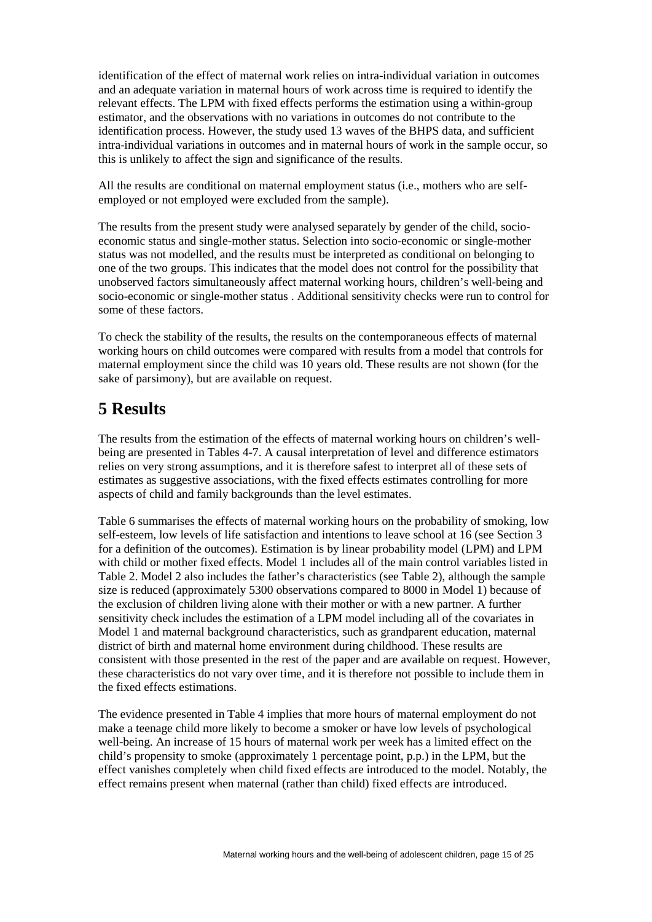identification of the effect of maternal work relies on intra-individual variation in outcomes and an adequate variation in maternal hours of work across time is required to identify the relevant effects. The LPM with fixed effects performs the estimation using a within-group estimator, and the observations with no variations in outcomes do not contribute to the identification process. However, the study used 13 waves of the BHPS data, and sufficient intra-individual variations in outcomes and in maternal hours of work in the sample occur, so this is unlikely to affect the sign and significance of the results.

All the results are conditional on maternal employment status (i.e., mothers who are selfemployed or not employed were excluded from the sample).

The results from the present study were analysed separately by gender of the child, socioeconomic status and single-mother status. Selection into socio-economic or single-mother status was not modelled, and the results must be interpreted as conditional on belonging to one of the two groups. This indicates that the model does not control for the possibility that unobserved factors simultaneously affect maternal working hours, children's well-being and socio-economic or single-mother status . Additional sensitivity checks were run to control for some of these factors.

To check the stability of the results, the results on the contemporaneous effects of maternal working hours on child outcomes were compared with results from a model that controls for maternal employment since the child was 10 years old. These results are not shown (for the sake of parsimony), but are available on request.

# **5 Results**

The results from the estimation of the effects of maternal working hours on children's wellbeing are presented in Tables 4-7. A causal interpretation of level and difference estimators relies on very strong assumptions, and it is therefore safest to interpret all of these sets of estimates as suggestive associations, with the fixed effects estimates controlling for more aspects of child and family backgrounds than the level estimates.

Table 6 summarises the effects of maternal working hours on the probability of smoking, low self-esteem, low levels of life satisfaction and intentions to leave school at 16 (see Section 3 for a definition of the outcomes). Estimation is by linear probability model (LPM) and LPM with child or mother fixed effects. Model 1 includes all of the main control variables listed in Table 2. Model 2 also includes the father's characteristics (see Table 2), although the sample size is reduced (approximately 5300 observations compared to 8000 in Model 1) because of the exclusion of children living alone with their mother or with a new partner. A further sensitivity check includes the estimation of a LPM model including all of the covariates in Model 1 and maternal background characteristics, such as grandparent education, maternal district of birth and maternal home environment during childhood. These results are consistent with those presented in the rest of the paper and are available on request. However, these characteristics do not vary over time, and it is therefore not possible to include them in the fixed effects estimations.

The evidence presented in Table 4 implies that more hours of maternal employment do not make a teenage child more likely to become a smoker or have low levels of psychological well-being. An increase of 15 hours of maternal work per week has a limited effect on the child's propensity to smoke (approximately 1 percentage point, p.p.) in the LPM, but the effect vanishes completely when child fixed effects are introduced to the model. Notably, the effect remains present when maternal (rather than child) fixed effects are introduced.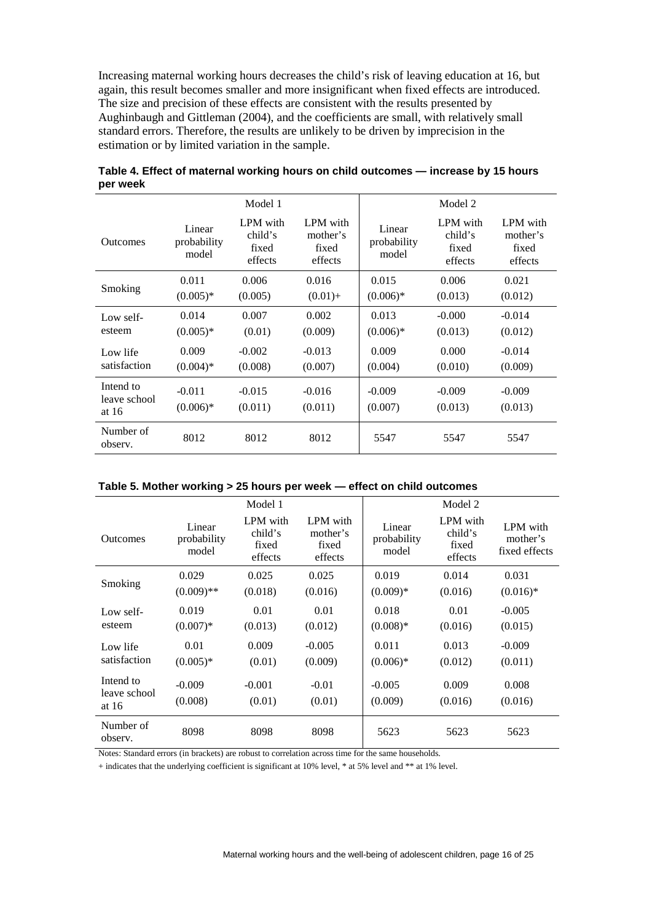Increasing maternal working hours decreases the child's risk of leaving education at 16, but again, this result becomes smaller and more insignificant when fixed effects are introduced. The size and precision of these effects are consistent with the results presented by Aughinbaugh and Gittleman (2004), and the coefficients are small, with relatively small standard errors. Therefore, the results are unlikely to be driven by imprecision in the estimation or by limited variation in the sample.

|                       | Model 1                        |                                         |                                          | Model 2                        |                                         |                                          |  |
|-----------------------|--------------------------------|-----------------------------------------|------------------------------------------|--------------------------------|-----------------------------------------|------------------------------------------|--|
| <b>Outcomes</b>       | Linear<br>probability<br>model | LPM with<br>child's<br>fixed<br>effects | LPM with<br>mother's<br>fixed<br>effects | Linear<br>probability<br>model | LPM with<br>child's<br>fixed<br>effects | LPM with<br>mother's<br>fixed<br>effects |  |
| Smoking               | 0.011                          | 0.006                                   | 0.016                                    | 0.015                          | 0.006                                   | 0.021                                    |  |
|                       | $(0.005)*$                     | (0.005)                                 | $(0.01) +$                               | $(0.006)*$                     | (0.013)                                 | (0.012)                                  |  |
| Low self-             | 0.014                          | 0.007                                   | 0.002                                    | 0.013                          | $-0.000$                                | $-0.014$                                 |  |
| esteem                | $(0.005)*$                     | (0.01)                                  | (0.009)                                  | $(0.006)*$                     | (0.013)                                 | (0.012)                                  |  |
| Low life              | 0.009                          | $-0.002$                                | $-0.013$                                 | 0.009                          | 0.000                                   | $-0.014$                                 |  |
| satisfaction          | $(0.004)*$                     | (0.008)                                 | (0.007)                                  | (0.004)                        | (0.010)                                 | (0.009)                                  |  |
| Intend to             | $-0.011$                       | $-0.015$                                | $-0.016$                                 | $-0.009$                       | $-0.009$                                | $-0.009$                                 |  |
| leave school<br>at 16 | $(0.006)*$                     | (0.011)                                 | (0.011)                                  | (0.007)                        | (0.013)                                 | (0.013)                                  |  |
| Number of<br>observ.  | 8012                           | 8012                                    | 8012                                     | 5547                           | 5547                                    | 5547                                     |  |

| Table 4. Effect of maternal working hours on child outcomes — increase by 15 hours |  |
|------------------------------------------------------------------------------------|--|
| per week                                                                           |  |

| Table 5. Mother working > 25 hours per week - effect on child outcomes |  |  |
|------------------------------------------------------------------------|--|--|
|------------------------------------------------------------------------|--|--|

|                                      |                                | Model 1                                 |                                          |                                | Model 2                                 |                                       |
|--------------------------------------|--------------------------------|-----------------------------------------|------------------------------------------|--------------------------------|-----------------------------------------|---------------------------------------|
| <b>Outcomes</b>                      | Linear<br>probability<br>model | LPM with<br>child's<br>fixed<br>effects | LPM with<br>mother's<br>fixed<br>effects | Linear<br>probability<br>model | LPM with<br>child's<br>fixed<br>effects | LPM with<br>mother's<br>fixed effects |
|                                      | 0.029                          | 0.025                                   | 0.025                                    | 0.019                          | 0.014                                   | 0.031                                 |
| Smoking                              | $(0.009)$ **                   | (0.018)                                 | (0.016)                                  | $(0.009)*$                     | (0.016)                                 | $(0.016)*$                            |
| Low self-                            | 0.019                          | 0.01                                    | 0.01                                     | 0.018                          | 0.01                                    | $-0.005$                              |
| esteem                               | $(0.007)*$                     | (0.013)                                 | (0.012)                                  | $(0.008)*$                     | (0.016)                                 | (0.015)                               |
| Low life                             | 0.01                           | 0.009                                   | $-0.005$                                 | 0.011                          | 0.013                                   | $-0.009$                              |
| satisfaction                         | $(0.005)*$                     | (0.01)                                  | (0.009)                                  | $(0.006)*$                     | (0.012)                                 | (0.011)                               |
| Intend to<br>leave school<br>at $16$ | $-0.009$<br>(0.008)            | $-0.001$<br>(0.01)                      | $-0.01$<br>(0.01)                        | $-0.005$<br>(0.009)            | 0.009<br>(0.016)                        | 0.008<br>(0.016)                      |
| Number of<br>observ.                 | 8098                           | 8098                                    | 8098                                     | 5623                           | 5623                                    | 5623                                  |

Notes: Standard errors (in brackets) are robust to correlation across time for the same households.

+ indicates that the underlying coefficient is significant at 10% level, \* at 5% level and \*\* at 1% level.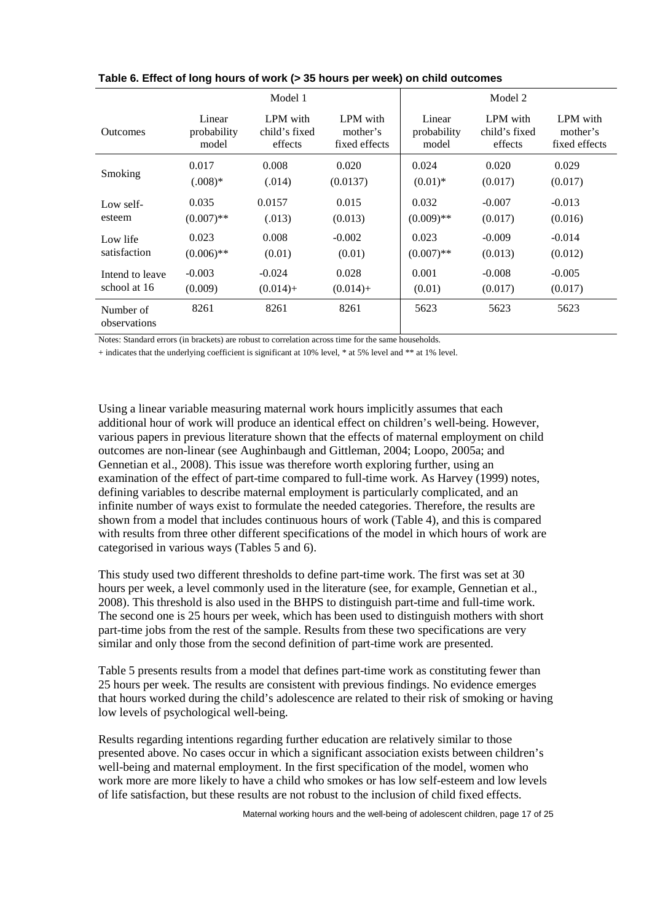|                           | Model 1      |               |               | Model 2      |               |               |
|---------------------------|--------------|---------------|---------------|--------------|---------------|---------------|
| <b>Outcomes</b>           | Linear       | LPM with      | LPM with      | Linear       | LPM with      | LPM with      |
|                           | probability  | child's fixed | mother's      | probability  | child's fixed | mother's      |
|                           | model        | effects       | fixed effects | model        | effects       | fixed effects |
| Smoking                   | 0.017        | 0.008         | 0.020         | 0.024        | 0.020         | 0.029         |
|                           | $(.008)*$    | (.014)        | (0.0137)      | $(0.01)^*$   | (0.017)       | (0.017)       |
| Low self-                 | 0.035        | 0.0157        | 0.015         | 0.032        | $-0.007$      | $-0.013$      |
| esteem                    | $(0.007)$ ** | (.013)        | (0.013)       | $(0.009)$ ** | (0.017)       | (0.016)       |
| Low life                  | 0.023        | 0.008         | $-0.002$      | 0.023        | $-0.009$      | $-0.014$      |
| satisfaction              | $(0.006)$ ** | (0.01)        | (0.01)        | $(0.007)$ ** | (0.013)       | (0.012)       |
| Intend to leave           | $-0.003$     | $-0.024$      | 0.028         | 0.001        | $-0.008$      | $-0.005$      |
| school at 16              | (0.009)      | $(0.014) +$   | $(0.014) +$   | (0.01)       | (0.017)       | (0.017)       |
| Number of<br>observations | 8261         | 8261          | 8261          | 5623         | 5623          | 5623          |

**Table 6. Effect of long hours of work (> 35 hours per week) on child outcomes**

Notes: Standard errors (in brackets) are robust to correlation across time for the same households.

+ indicates that the underlying coefficient is significant at 10% level, \* at 5% level and \*\* at 1% level.

Using a linear variable measuring maternal work hours implicitly assumes that each additional hour of work will produce an identical effect on children's well-being. However, various papers in previous literature shown that the effects of maternal employment on child outcomes are non-linear (see Aughinbaugh and Gittleman, 2004; Loopo, 2005a; and Gennetian et al., 2008). This issue was therefore worth exploring further, using an examination of the effect of part-time compared to full-time work. As Harvey (1999) notes, defining variables to describe maternal employment is particularly complicated, and an infinite number of ways exist to formulate the needed categories. Therefore, the results are shown from a model that includes continuous hours of work (Table 4), and this is compared with results from three other different specifications of the model in which hours of work are categorised in various ways (Tables 5 and 6).

This study used two different thresholds to define part-time work. The first was set at 30 hours per week, a level commonly used in the literature (see, for example, Gennetian et al., 2008). This threshold is also used in the BHPS to distinguish part-time and full-time work. The second one is 25 hours per week, which has been used to distinguish mothers with short part-time jobs from the rest of the sample. Results from these two specifications are very similar and only those from the second definition of part-time work are presented.

Table 5 presents results from a model that defines part-time work as constituting fewer than 25 hours per week. The results are consistent with previous findings. No evidence emerges that hours worked during the child's adolescence are related to their risk of smoking or having low levels of psychological well-being.

Results regarding intentions regarding further education are relatively similar to those presented above. No cases occur in which a significant association exists between children's well-being and maternal employment. In the first specification of the model, women who work more are more likely to have a child who smokes or has low self-esteem and low levels of life satisfaction, but these results are not robust to the inclusion of child fixed effects.

Maternal working hours and the well-being of adolescent children, page 17 of 25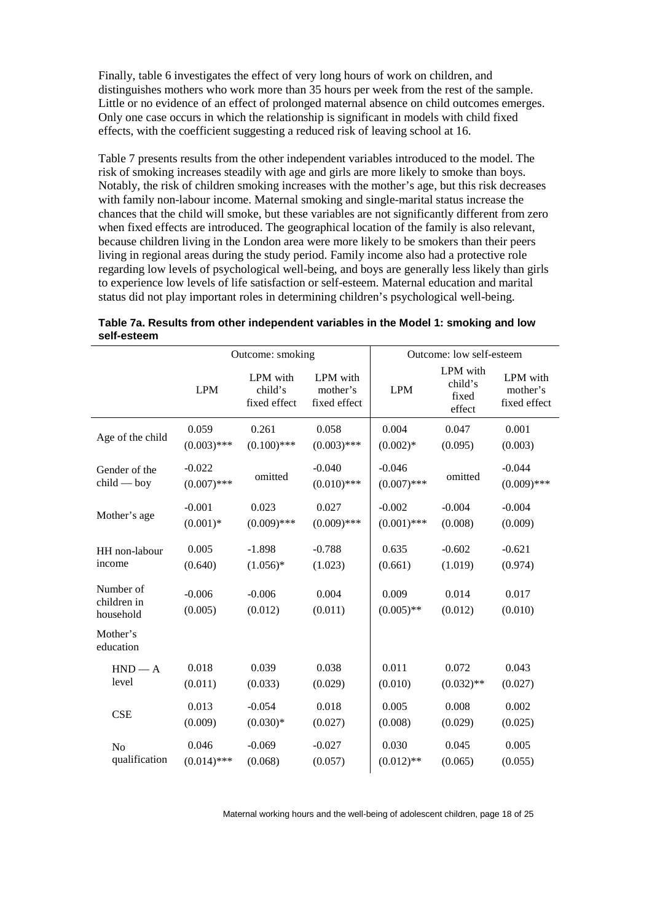Finally, table 6 investigates the effect of very long hours of work on children, and distinguishes mothers who work more than 35 hours per week from the rest of the sample. Little or no evidence of an effect of prolonged maternal absence on child outcomes emerges. Only one case occurs in which the relationship is significant in models with child fixed effects, with the coefficient suggesting a reduced risk of leaving school at 16.

Table 7 presents results from the other independent variables introduced to the model. The risk of smoking increases steadily with age and girls are more likely to smoke than boys. Notably, the risk of children smoking increases with the mother's age, but this risk decreases with family non-labour income. Maternal smoking and single-marital status increase the chances that the child will smoke, but these variables are not significantly different from zero when fixed effects are introduced. The geographical location of the family is also relevant, because children living in the London area were more likely to be smokers than their peers living in regional areas during the study period. Family income also had a protective role regarding low levels of psychological well-being, and boys are generally less likely than girls to experience low levels of life satisfaction or self-esteem. Maternal education and marital status did not play important roles in determining children's psychological well-being.

|                                       | Outcome: smoking          |                                     |                                      | Outcome: low self-esteem  |                                        |                                      |  |
|---------------------------------------|---------------------------|-------------------------------------|--------------------------------------|---------------------------|----------------------------------------|--------------------------------------|--|
|                                       | <b>LPM</b>                | LPM with<br>child's<br>fixed effect | LPM with<br>mother's<br>fixed effect | <b>LPM</b>                | LPM with<br>child's<br>fixed<br>effect | LPM with<br>mother's<br>fixed effect |  |
| Age of the child                      | 0.059                     | 0.261                               | 0.058                                | 0.004                     | 0.047                                  | 0.001                                |  |
|                                       | $(0.003)$ ***             | $(0.100)$ ***                       | $(0.003)$ ***                        | $(0.002)*$                | (0.095)                                | (0.003)                              |  |
| Gender of the<br>$child - boy$        | $-0.022$<br>$(0.007)$ *** | omitted                             | $-0.040$<br>$(0.010)$ ***            | $-0.046$<br>$(0.007)$ *** | omitted                                | $-0.044$<br>$(0.009)$ ***            |  |
| Mother's age                          | $-0.001$                  | 0.023                               | 0.027                                | $-0.002$                  | $-0.004$                               | $-0.004$                             |  |
|                                       | $(0.001)*$                | $(0.009)$ ***                       | $(0.009)$ ***                        | $(0.001)$ ***             | (0.008)                                | (0.009)                              |  |
| HH non-labour                         | 0.005                     | $-1.898$                            | $-0.788$                             | 0.635                     | $-0.602$                               | $-0.621$                             |  |
| income                                | (0.640)                   | $(1.056)*$                          | (1.023)                              | (0.661)                   | (1.019)                                | (0.974)                              |  |
| Number of<br>children in<br>household | $-0.006$<br>(0.005)       | $-0.006$<br>(0.012)                 | 0.004<br>(0.011)                     | 0.009<br>$(0.005)$ **     | 0.014<br>(0.012)                       | 0.017<br>(0.010)                     |  |
| Mother's<br>education                 |                           |                                     |                                      |                           |                                        |                                      |  |
| $HND - A$                             | 0.018                     | 0.039                               | 0.038                                | 0.011                     | 0.072                                  | 0.043                                |  |
| level                                 | (0.011)                   | (0.033)                             | (0.029)                              | (0.010)                   | $(0.032)$ **                           | (0.027)                              |  |
| <b>CSE</b>                            | 0.013                     | $-0.054$                            | 0.018                                | 0.005                     | 0.008                                  | 0.002                                |  |
|                                       | (0.009)                   | $(0.030)*$                          | (0.027)                              | (0.008)                   | (0.029)                                | (0.025)                              |  |
| N <sub>o</sub>                        | 0.046                     | $-0.069$                            | $-0.027$                             | 0.030                     | 0.045                                  | 0.005                                |  |
| qualification                         | $(0.014)$ ***             | (0.068)                             | (0.057)                              | $(0.012)$ **              | (0.065)                                | (0.055)                              |  |

| Table 7a. Results from other independent variables in the Model 1: smoking and low |  |
|------------------------------------------------------------------------------------|--|
| self-esteem                                                                        |  |

Maternal working hours and the well-being of adolescent children, page 18 of 25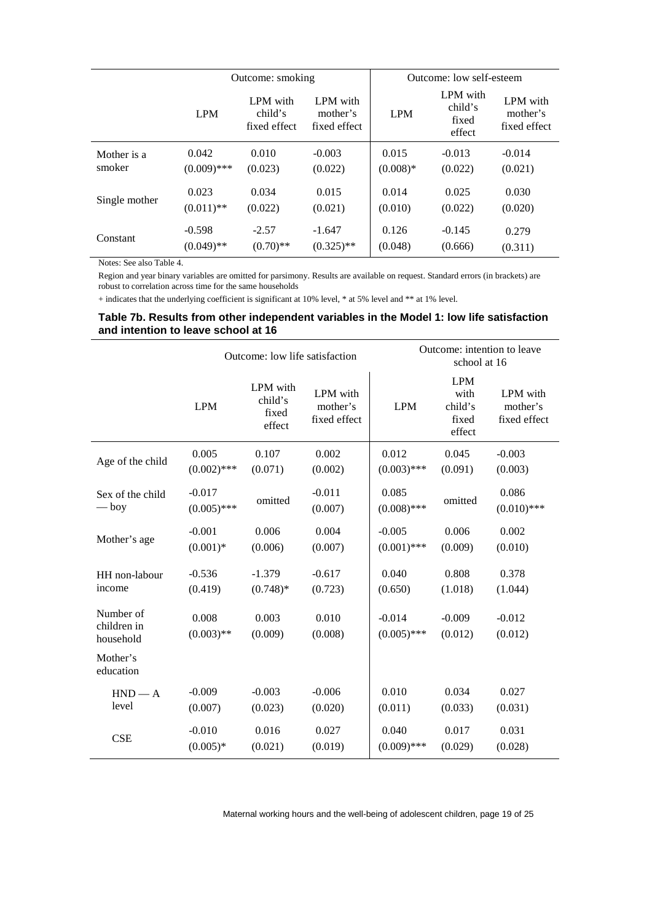|               | Outcome: smoking |                                     |                                      | Outcome: low self-esteem |                                        |                                      |
|---------------|------------------|-------------------------------------|--------------------------------------|--------------------------|----------------------------------------|--------------------------------------|
|               | <b>LPM</b>       | LPM with<br>child's<br>fixed effect | LPM with<br>mother's<br>fixed effect | <b>LPM</b>               | LPM with<br>child's<br>fixed<br>effect | LPM with<br>mother's<br>fixed effect |
| Mother is a   | 0.042            | 0.010                               | $-0.003$                             | 0.015                    | $-0.013$                               | $-0.014$                             |
| smoker        | $(0.009)$ ***    | (0.023)                             | (0.022)                              | $(0.008)*$               | (0.022)                                | (0.021)                              |
| Single mother | 0.023            | 0.034                               | 0.015                                | 0.014                    | 0.025                                  | 0.030                                |
|               | $(0.011)$ **     | (0.022)                             | (0.021)                              | (0.010)                  | (0.022)                                | (0.020)                              |
| Constant      | $-0.598$         | $-2.57$                             | $-1.647$                             | 0.126                    | $-0.145$                               | 0.279                                |
|               | $(0.049)$ **     | $(0.70)$ **                         | $(0.325)$ **                         | (0.048)                  | (0.666)                                | (0.311)                              |

Notes: See also Table 4.

Region and year binary variables are omitted for parsimony. Results are available on request. Standard errors (in brackets) are robust to correlation across time for the same households

+ indicates that the underlying coefficient is significant at 10% level, \* at 5% level and \*\* at 1% level.

#### **Table 7b. Results from other independent variables in the Model 1: low life satisfaction and intention to leave school at 16**

|                                       | Outcome: low life satisfaction |                                        |                                      | Outcome: intention to leave<br>school at 16 |                                                  |                                      |  |
|---------------------------------------|--------------------------------|----------------------------------------|--------------------------------------|---------------------------------------------|--------------------------------------------------|--------------------------------------|--|
|                                       | <b>LPM</b>                     | LPM with<br>child's<br>fixed<br>effect | LPM with<br>mother's<br>fixed effect | <b>LPM</b>                                  | <b>LPM</b><br>with<br>child's<br>fixed<br>effect | LPM with<br>mother's<br>fixed effect |  |
| Age of the child                      | 0.005                          | 0.107                                  | 0.002                                | 0.012                                       | 0.045                                            | $-0.003$                             |  |
|                                       | $(0.002)$ ***                  | (0.071)                                | (0.002)                              | $(0.003)$ ***                               | (0.091)                                          | (0.003)                              |  |
| Sex of the child<br>$-\mathbf{boy}$   | $-0.017$<br>$(0.005)$ ***      | omitted                                | $-0.011$<br>(0.007)                  | 0.085<br>$(0.008)$ ***                      | omitted                                          | 0.086<br>$(0.010)$ ***               |  |
| Mother's age                          | $-0.001$                       | 0.006                                  | 0.004                                | $-0.005$                                    | 0.006                                            | 0.002                                |  |
|                                       | $(0.001)$ *                    | (0.006)                                | (0.007)                              | $(0.001)$ ***                               | (0.009)                                          | (0.010)                              |  |
| HH non-labour                         | $-0.536$                       | $-1.379$                               | $-0.617$                             | 0.040                                       | 0.808                                            | 0.378                                |  |
| income                                | (0.419)                        | $(0.748)$ *                            | (0.723)                              | (0.650)                                     | (1.018)                                          | (1.044)                              |  |
| Number of<br>children in<br>household | 0.008<br>$(0.003)$ **          | 0.003<br>(0.009)                       | 0.010<br>(0.008)                     | $-0.014$<br>$(0.005)$ ***                   | $-0.009$<br>(0.012)                              | $-0.012$<br>(0.012)                  |  |
| Mother's<br>education                 |                                |                                        |                                      |                                             |                                                  |                                      |  |
| $HND - A$                             | $-0.009$                       | $-0.003$                               | $-0.006$                             | 0.010                                       | 0.034                                            | 0.027                                |  |
| level                                 | (0.007)                        | (0.023)                                | (0.020)                              | (0.011)                                     | (0.033)                                          | (0.031)                              |  |
| <b>CSE</b>                            | $-0.010$                       | 0.016                                  | 0.027                                | 0.040                                       | 0.017                                            | 0.031                                |  |
|                                       | $(0.005)*$                     | (0.021)                                | (0.019)                              | $(0.009)$ ***                               | (0.029)                                          | (0.028)                              |  |

Maternal working hours and the well-being of adolescent children, page 19 of 25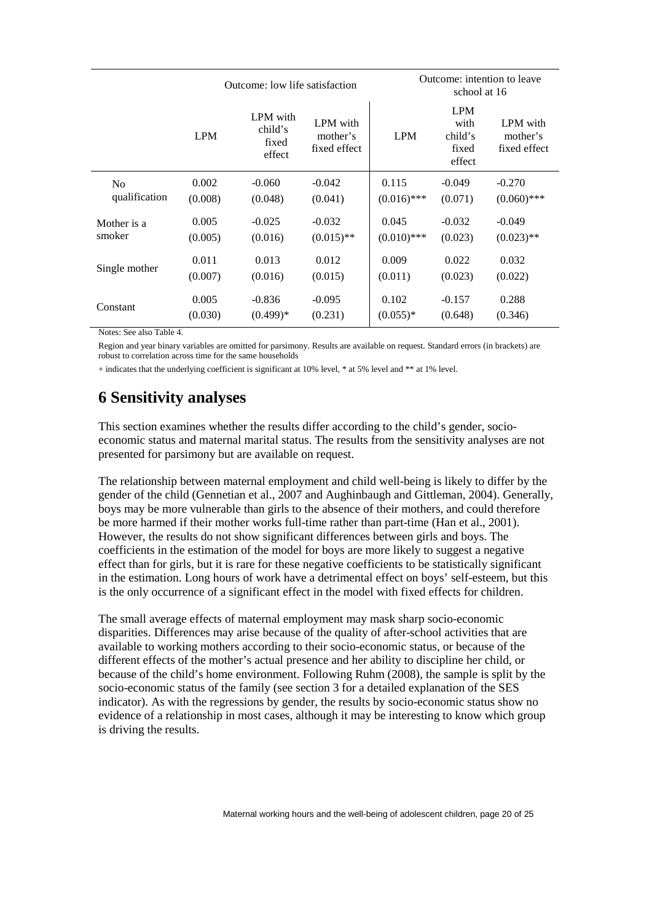|                | Outcome: low life satisfaction |                                        |                                      | Outcome: intention to leave<br>school at 16 |                                                  |                                      |
|----------------|--------------------------------|----------------------------------------|--------------------------------------|---------------------------------------------|--------------------------------------------------|--------------------------------------|
|                | <b>LPM</b>                     | LPM with<br>child's<br>fixed<br>effect | LPM with<br>mother's<br>fixed effect | <b>LPM</b>                                  | <b>LPM</b><br>with<br>child's<br>fixed<br>effect | LPM with<br>mother's<br>fixed effect |
| N <sub>0</sub> | 0.002                          | $-0.060$                               | $-0.042$                             | 0.115                                       | $-0.049$                                         | $-0.270$                             |
| qualification  | (0.008)                        | (0.048)                                | (0.041)                              | $(0.016)$ ***                               | (0.071)                                          | $(0.060)$ ***                        |
| Mother is a    | 0.005                          | $-0.025$                               | $-0.032$                             | 0.045                                       | $-0.032$                                         | $-0.049$                             |
| smoker         | (0.005)                        | (0.016)                                | $(0.015)$ **                         | $(0.010)$ ***                               | (0.023)                                          | $(0.023)$ **                         |
| Single mother  | 0.011                          | 0.013                                  | 0.012                                | 0.009                                       | 0.022                                            | 0.032                                |
|                | (0.007)                        | (0.016)                                | (0.015)                              | (0.011)                                     | (0.023)                                          | (0.022)                              |
| Constant       | 0.005                          | $-0.836$                               | $-0.095$                             | 0.102                                       | $-0.157$                                         | 0.288                                |
|                | (0.030)                        | $(0.499)*$                             | (0.231)                              | $(0.055)*$                                  | (0.648)                                          | (0.346)                              |

Notes: See also Table 4.

Region and year binary variables are omitted for parsimony. Results are available on request. Standard errors (in brackets) are robust to correlation across time for the same households

+ indicates that the underlying coefficient is significant at 10% level, \* at 5% level and \*\* at 1% level.

## **6 Sensitivity analyses**

This section examines whether the results differ according to the child's gender, socioeconomic status and maternal marital status. The results from the sensitivity analyses are not presented for parsimony but are available on request.

The relationship between maternal employment and child well-being is likely to differ by the gender of the child (Gennetian et al., 2007 and Aughinbaugh and Gittleman, 2004). Generally, boys may be more vulnerable than girls to the absence of their mothers, and could therefore be more harmed if their mother works full-time rather than part-time (Han et al., 2001). However, the results do not show significant differences between girls and boys. The coefficients in the estimation of the model for boys are more likely to suggest a negative effect than for girls, but it is rare for these negative coefficients to be statistically significant in the estimation. Long hours of work have a detrimental effect on boys' self-esteem, but this is the only occurrence of a significant effect in the model with fixed effects for children.

The small average effects of maternal employment may mask sharp socio-economic disparities. Differences may arise because of the quality of after-school activities that are available to working mothers according to their socio-economic status, or because of the different effects of the mother's actual presence and her ability to discipline her child, or because of the child's home environment. Following Ruhm (2008), the sample is split by the socio-economic status of the family (see section 3 for a detailed explanation of the SES indicator). As with the regressions by gender, the results by socio-economic status show no evidence of a relationship in most cases, although it may be interesting to know which group is driving the results.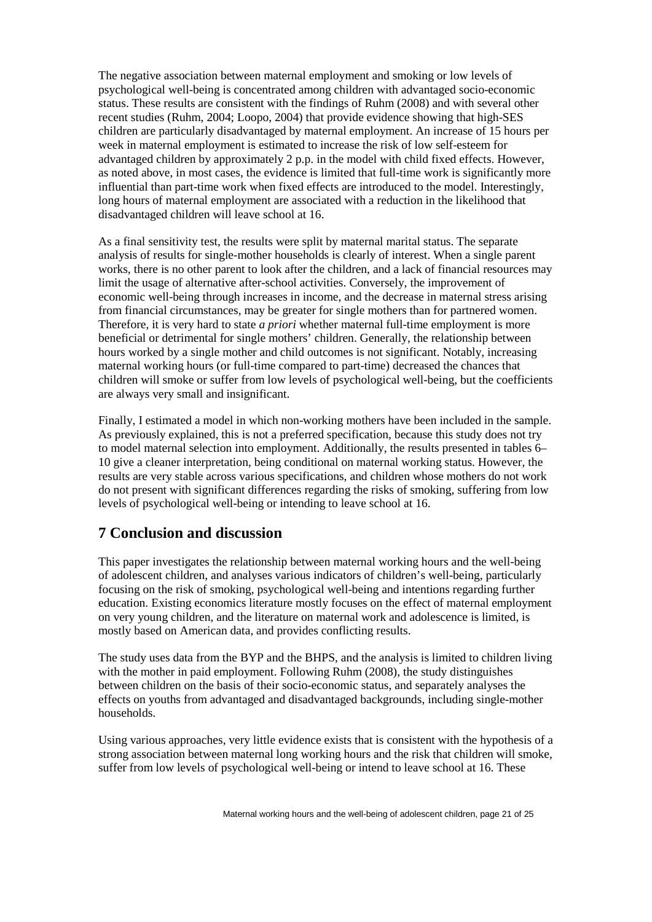The negative association between maternal employment and smoking or low levels of psychological well-being is concentrated among children with advantaged socio-economic status. These results are consistent with the findings of Ruhm (2008) and with several other recent studies (Ruhm, 2004; Loopo, 2004) that provide evidence showing that high-SES children are particularly disadvantaged by maternal employment. An increase of 15 hours per week in maternal employment is estimated to increase the risk of low self-esteem for advantaged children by approximately 2 p.p. in the model with child fixed effects. However, as noted above, in most cases, the evidence is limited that full-time work is significantly more influential than part-time work when fixed effects are introduced to the model. Interestingly, long hours of maternal employment are associated with a reduction in the likelihood that disadvantaged children will leave school at 16.

As a final sensitivity test, the results were split by maternal marital status. The separate analysis of results for single-mother households is clearly of interest. When a single parent works, there is no other parent to look after the children, and a lack of financial resources may limit the usage of alternative after-school activities. Conversely, the improvement of economic well-being through increases in income, and the decrease in maternal stress arising from financial circumstances, may be greater for single mothers than for partnered women. Therefore, it is very hard to state *a priori* whether maternal full-time employment is more beneficial or detrimental for single mothers' children. Generally, the relationship between hours worked by a single mother and child outcomes is not significant. Notably, increasing maternal working hours (or full-time compared to part-time) decreased the chances that children will smoke or suffer from low levels of psychological well-being, but the coefficients are always very small and insignificant.

Finally, I estimated a model in which non-working mothers have been included in the sample. As previously explained, this is not a preferred specification, because this study does not try to model maternal selection into employment. Additionally, the results presented in tables 6– 10 give a cleaner interpretation, being conditional on maternal working status. However, the results are very stable across various specifications, and children whose mothers do not work do not present with significant differences regarding the risks of smoking, suffering from low levels of psychological well-being or intending to leave school at 16.

#### **7 Conclusion and discussion**

This paper investigates the relationship between maternal working hours and the well-being of adolescent children, and analyses various indicators of children's well-being, particularly focusing on the risk of smoking, psychological well-being and intentions regarding further education. Existing economics literature mostly focuses on the effect of maternal employment on very young children, and the literature on maternal work and adolescence is limited, is mostly based on American data, and provides conflicting results.

The study uses data from the BYP and the BHPS, and the analysis is limited to children living with the mother in paid employment. Following Ruhm (2008), the study distinguishes between children on the basis of their socio-economic status, and separately analyses the effects on youths from advantaged and disadvantaged backgrounds, including single-mother households.

Using various approaches, very little evidence exists that is consistent with the hypothesis of a strong association between maternal long working hours and the risk that children will smoke, suffer from low levels of psychological well-being or intend to leave school at 16. These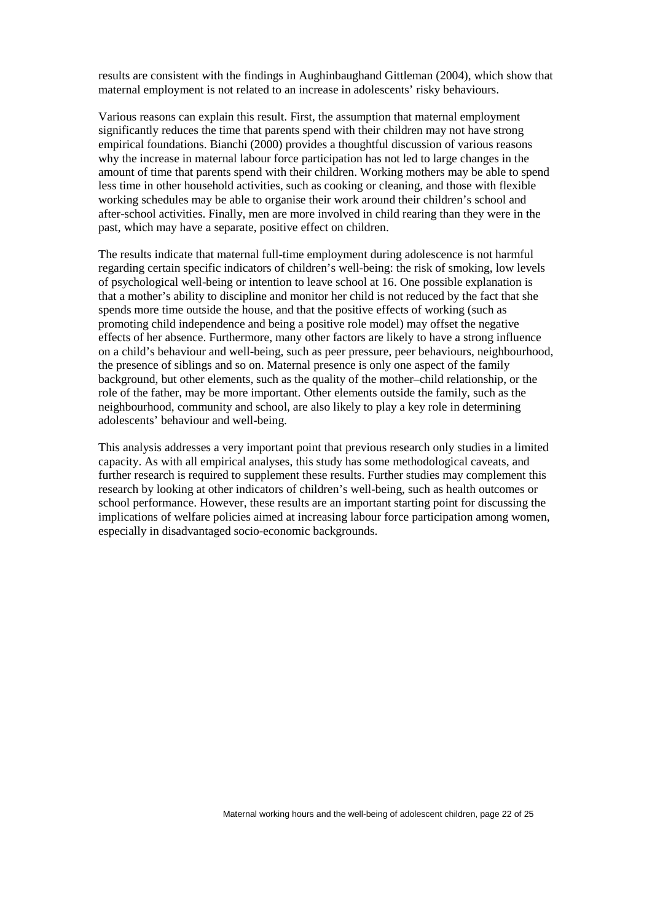results are consistent with the findings in Aughinbaughand Gittleman (2004), which show that maternal employment is not related to an increase in adolescents' risky behaviours.

Various reasons can explain this result. First, the assumption that maternal employment significantly reduces the time that parents spend with their children may not have strong empirical foundations. Bianchi (2000) provides a thoughtful discussion of various reasons why the increase in maternal labour force participation has not led to large changes in the amount of time that parents spend with their children. Working mothers may be able to spend less time in other household activities, such as cooking or cleaning, and those with flexible working schedules may be able to organise their work around their children's school and after-school activities. Finally, men are more involved in child rearing than they were in the past, which may have a separate, positive effect on children.

The results indicate that maternal full-time employment during adolescence is not harmful regarding certain specific indicators of children's well-being: the risk of smoking, low levels of psychological well-being or intention to leave school at 16. One possible explanation is that a mother's ability to discipline and monitor her child is not reduced by the fact that she spends more time outside the house, and that the positive effects of working (such as promoting child independence and being a positive role model) may offset the negative effects of her absence. Furthermore, many other factors are likely to have a strong influence on a child's behaviour and well-being, such as peer pressure, peer behaviours, neighbourhood, the presence of siblings and so on. Maternal presence is only one aspect of the family background, but other elements, such as the quality of the mother–child relationship, or the role of the father, may be more important. Other elements outside the family, such as the neighbourhood, community and school, are also likely to play a key role in determining adolescents' behaviour and well-being.

This analysis addresses a very important point that previous research only studies in a limited capacity. As with all empirical analyses, this study has some methodological caveats, and further research is required to supplement these results. Further studies may complement this research by looking at other indicators of children's well-being, such as health outcomes or school performance. However, these results are an important starting point for discussing the implications of welfare policies aimed at increasing labour force participation among women, especially in disadvantaged socio-economic backgrounds.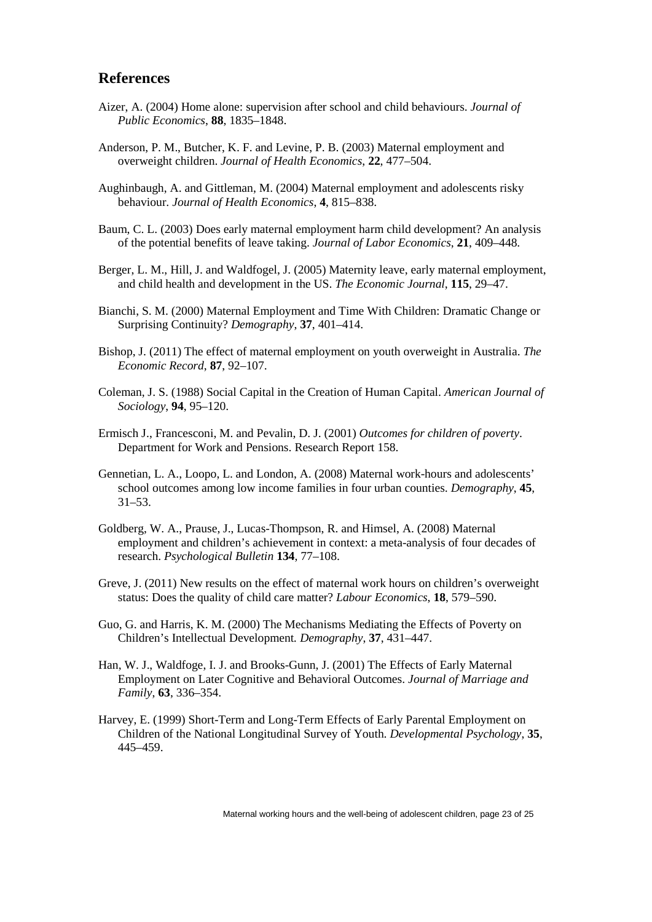#### **References**

- Aizer, A. (2004) Home alone: supervision after school and child behaviours. *Journal of Public Economics*, **88**, 1835–1848.
- Anderson, P. M., Butcher, K. F. and Levine, P. B. (2003) Maternal employment and overweight children. *Journal of Health Economics*, **22**, 477–504.
- Aughinbaugh, A. and Gittleman, M. (2004) Maternal employment and adolescents risky behaviour. *Journal of Health Economics*, **4**, 815–838.
- Baum, C. L. (2003) Does early maternal employment harm child development? An analysis of the potential benefits of leave taking. *Journal of Labor Economics*, **21**, 409–448.
- Berger, L. M., Hill, J. and Waldfogel, J. (2005) Maternity leave, early maternal employment, and child health and development in the US. *The Economic Journal*, **115**, 29–47.
- Bianchi, S. M. (2000) Maternal Employment and Time With Children: Dramatic Change or Surprising Continuity? *Demography*, **37**, 401–414.
- Bishop, J. (2011) The effect of maternal employment on youth overweight in Australia. *The Economic Record*, **87**, 92–107.
- Coleman, J. S. (1988) Social Capital in the Creation of Human Capital. *American Journal of Sociology*, **94**, 95–120.
- Ermisch J., Francesconi, M. and Pevalin, D. J. (2001) *Outcomes for children of poverty*. Department for Work and Pensions. Research Report 158.
- Gennetian, L. A., Loopo, L. and London, A. (2008) Maternal work-hours and adolescents' school outcomes among low income families in four urban counties. *Demography*, **45**, 31–53.
- Goldberg, W. A., Prause, J., Lucas-Thompson, R. and Himsel, A. (2008) Maternal employment and children's achievement in context: a meta-analysis of four decades of research. *Psychological Bulletin* **134**, 77–108.
- Greve, J. (2011) New results on the effect of maternal work hours on children's overweight status: Does the quality of child care matter? *Labour Economics*, **18**, 579–590.
- Guo, G. and Harris, K. M. (2000) The Mechanisms Mediating the Effects of Poverty on Children's Intellectual Development*. Demography*, **37**, 431–447.
- Han, W. J., Waldfoge, I. J. and Brooks-Gunn, J. (2001) The Effects of Early Maternal Employment on Later Cognitive and Behavioral Outcomes. *Journal of Marriage and Family*, **63**, 336–354.
- Harvey, E. (1999) Short-Term and Long-Term Effects of Early Parental Employment on Children of the National Longitudinal Survey of Youth. *Developmental Psychology*, **35**, 445–459.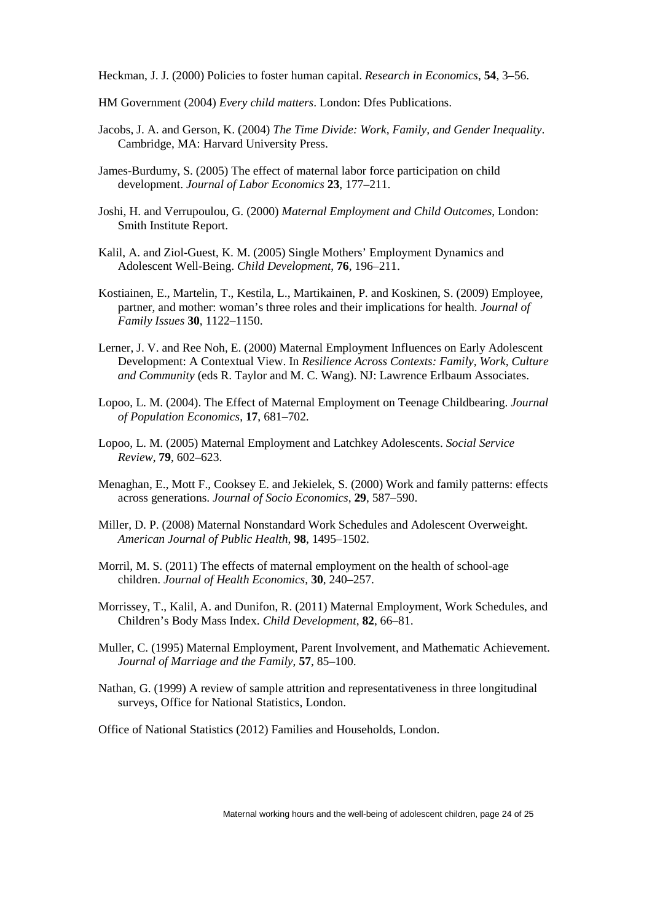Heckman, J. J. (2000) Policies to foster human capital. *Research in Economics*, **54**, 3–56.

HM Government (2004) *Every child matters*. London: Dfes Publications.

- Jacobs, J. A. and Gerson, K. (2004) *The Time Divide: Work, Family, and Gender Inequality*. Cambridge, MA: Harvard University Press.
- James-Burdumy, S. (2005) The effect of maternal labor force participation on child development. *Journal of Labor Economics* **23**, 177–211.
- Joshi, H. and Verrupoulou, G. (2000) *Maternal Employment and Child Outcomes*, London: Smith Institute Report.
- Kalil, A. and Ziol-Guest, K. M. (2005) Single Mothers' Employment Dynamics and Adolescent Well-Being. *Child Development*, **76**, 196–211.
- Kostiainen, E., Martelin, T., Kestila, L., Martikainen, P. and Koskinen, S. (2009) Employee, partner, and mother: woman's three roles and their implications for health. *Journal of Family Issues* **30**, 1122–1150.
- Lerner, J. V. and Ree Noh, E. (2000) Maternal Employment Influences on Early Adolescent Development: A Contextual View. In *Resilience Across Contexts: Family, Work, Culture and Community* (eds R. Taylor and M. C. Wang). NJ: Lawrence Erlbaum Associates.
- Lopoo, L. M. (2004). The Effect of Maternal Employment on Teenage Childbearing. *Journal of Population Economics*, **17**, 681–702.
- Lopoo, L. M. (2005) Maternal Employment and Latchkey Adolescents. *Social Service Review*, **79**, 602–623.
- Menaghan, E., Mott F., Cooksey E. and Jekielek, S. (2000) Work and family patterns: effects across generations. *Journal of Socio Economics*, **29**, 587–590.
- Miller, D. P. (2008) Maternal Nonstandard Work Schedules and Adolescent Overweight. *American Journal of Public Health*, **98**, 1495–1502.
- Morril, M. S. (2011) The effects of maternal employment on the health of school-age children. *Journal of Health Economics*, **30**, 240–257.
- Morrissey, T., Kalil, A. and Dunifon, R. (2011) Maternal Employment, Work Schedules, and Children's Body Mass Index. *Child Development*, **82**, 66–81.
- Muller, C. (1995) Maternal Employment, Parent Involvement, and Mathematic Achievement. *Journal of Marriage and the Family*, **57**, 85–100.
- Nathan, G. (1999) A review of sample attrition and representativeness in three longitudinal surveys, Office for National Statistics, London.

Office of National Statistics (2012) Families and Households, London.